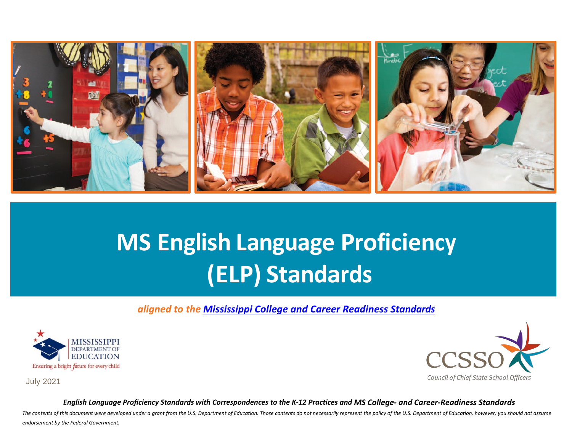

# **MS English Language Proficiency (ELP) Standards**

*aligned to the [Mississippi College and Career Readiness Standards](https://www.mdek12.org/OAE/college-and-career-readiness-standards)*





July 2021

*English Language Proficiency Standards with Correspondences to the K-12 Practices and MS College- and Career-Readiness Standards*

The contents of this document were developed under a grant from the U.S. Department of Education. Those contents do not necessarily represent the policy of the U.S. Department of Education, however; you should not assume *endorsement by the Federal Government.*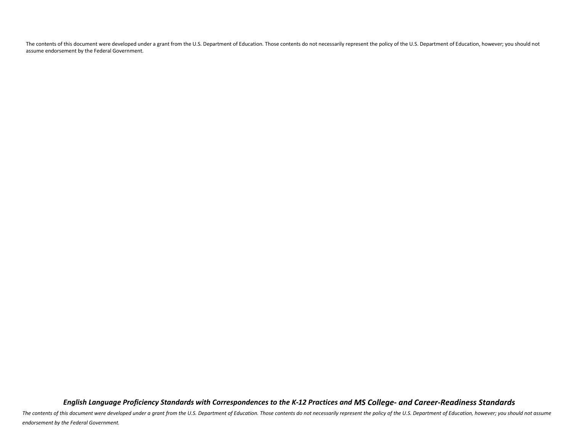The contents of this document were developed under a grant from the U.S. Department of Education. Those contents do not necessarily represent the policy of the U.S. Department of Education, however; you should not assume endorsement by the Federal Government.

*English Language Proficiency Standards with Correspondences to the K-12 Practices and MS College- and Career-Readiness Standards*

The contents of this document were developed under a grant from the U.S. Department of Education. Those contents do not necessarily represent the policy of the U.S. Department of Education, however; you should not assume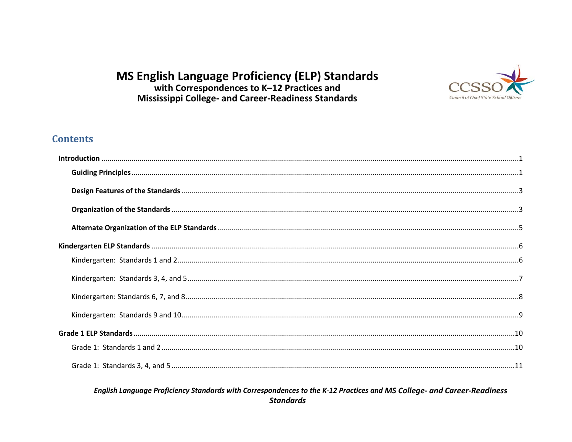## MS English Language Proficiency (ELP) Standards with Correspondences to K-12 Practices and **Mississippi College- and Career-Readiness Standards**



## **Contents**

#### English Language Proficiency Standards with Correspondences to the K-12 Practices and MS College- and Career-Readiness **Standards**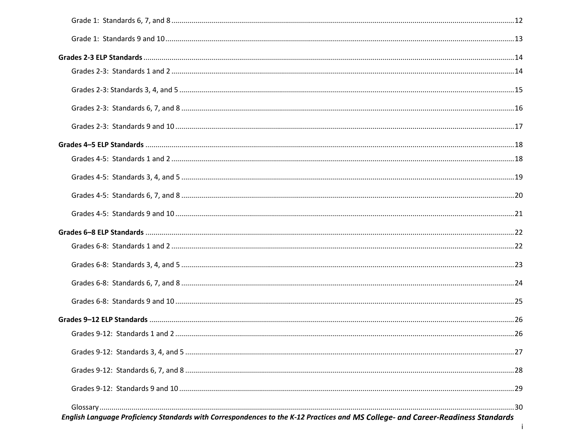| English Language Proficiency Standards with Correspondences to the K-12 Practices and MS College- and Career-Readiness Standards |  |
|----------------------------------------------------------------------------------------------------------------------------------|--|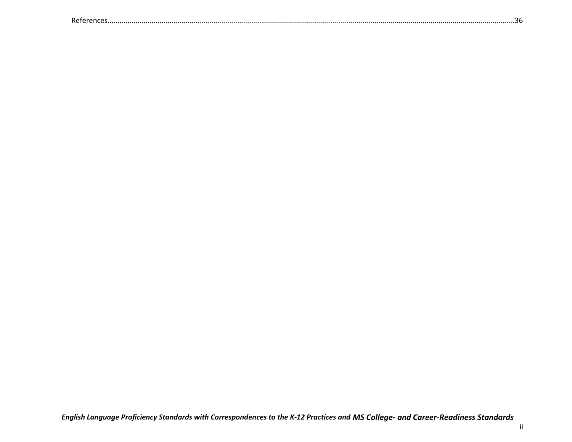|--|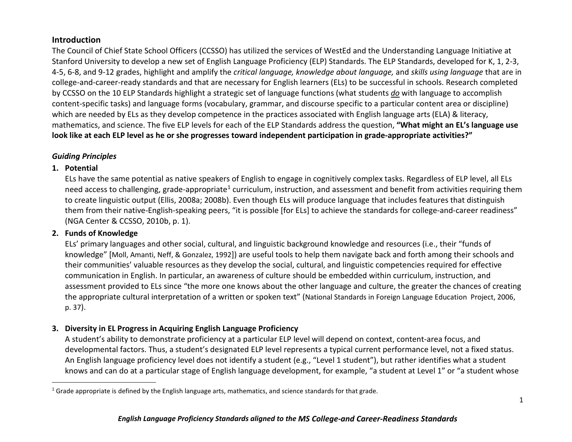#### <span id="page-5-2"></span><span id="page-5-0"></span>**Introduction**

The Council of Chief State School Officers (CCSSO) has utilized the services of WestEd and the Understanding Language Initiative at Stanford University to develop a new set of English Language Proficiency (ELP) Standards. The ELP Standards, developed for K, 1, 2-3, 4-5, 6-8, and 9-12 grades, highlight and amplify the *critical language, knowledge about language,* and *skills using language* that are in college-and-career-ready standards and that are necessary for English learners (ELs) to be successful in schools. Research completed by CCSSO on the 10 ELP Standards highlight a strategic set of language functions (what students *do* with language to accomplish content-specific tasks) and language forms (vocabulary, grammar, and discourse specific to a particular content area or discipline) which are needed by ELs as they develop competence in the practices associated with English language arts (ELA) & literacy, mathematics, and science. The five ELP levels for each of the ELP Standards address the question, **"What might an EL's language use look like at each ELP level as he or she progresses toward independent participation in grade-appropriate activities?"**

#### <span id="page-5-1"></span>*Guiding Principles*

#### **1. Potential**

ELs have the same potential as native speakers of English to engage in cognitively complex tasks. Regardless of ELP level, all ELs need access to challenging, grade-appropriate<sup>[1](#page-5-2)</sup> curriculum, instruction, and assessment and benefit from activities requiring them to create linguistic output (Ellis, 2008a; 2008b). Even though ELs will produce language that includes features that distinguish them from their native-English-speaking peers, "it is possible [for ELs] to achieve the standards for college-and-career readiness" (NGA Center & CCSSO, 2010b, p. 1).

#### **2. Funds of Knowledge**

ELs' primary languages and other social, cultural, and linguistic background knowledge and resources (i.e., their "funds of knowledge" [Moll, Amanti, Neff, & Gonzalez, 1992]) are useful tools to help them navigate back and forth among their schools and their communities' valuable resources as they develop the social, cultural, and linguistic competencies required for effective communication in English. In particular, an awareness of culture should be embedded within curriculum, instruction, and assessment provided to ELs since "the more one knows about the other language and culture, the greater the chances of creating the appropriate cultural interpretation of a written or spoken text" (National Standards in Foreign Language Education Project, 2006, p. 37).

#### **3. Diversity in EL Progress in Acquiring English Language Proficiency**

A student's ability to demonstrate proficiency at a particular ELP level will depend on context, content-area focus, and developmental factors. Thus, a student's designated ELP level represents a typical current performance level, not a fixed status. An English language proficiency level does not identify a student (e.g., "Level 1 student"), but rather identifies what a student knows and can do at a particular stage of English language development, for example, "a student at Level 1" or "a student whose

 $1$  Grade appropriate is defined by the English language arts, mathematics, and science standards for that grade.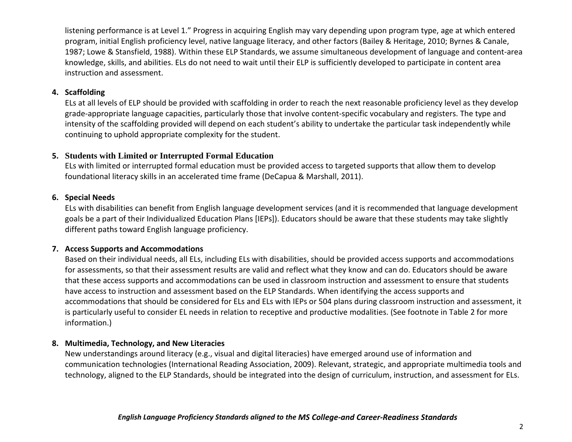listening performance is at Level 1." Progress in acquiring English may vary depending upon program type, age at which entered program, initial English proficiency level, native language literacy, and other factors (Bailey & Heritage, 2010; Byrnes & Canale, 1987; Lowe & Stansfield, 1988). Within these ELP Standards, we assume simultaneous development of language and content-area knowledge, skills, and abilities. ELs do not need to wait until their ELP is sufficiently developed to participate in content area instruction and assessment.

#### **4. Scaffolding**

ELs at all levels of ELP should be provided with scaffolding in order to reach the next reasonable proficiency level as they develop grade-appropriate language capacities, particularly those that involve content-specific vocabulary and registers. The type and intensity of the scaffolding provided will depend on each student's ability to undertake the particular task independently while continuing to uphold appropriate complexity for the student.

#### **5. Students with Limited or Interrupted Formal Education**

ELs with limited or interrupted formal education must be provided access to targeted supports that allow them to develop foundational literacy skills in an accelerated time frame (DeCapua & Marshall, 2011).

#### **6. Special Needs**

ELs with disabilities can benefit from English language development services (and it is recommended that language development goals be a part of their Individualized Education Plans [IEPs]). Educators should be aware that these students may take slightly different paths toward English language proficiency.

#### **7. Access Supports and Accommodations**

Based on their individual needs, all ELs, including ELs with disabilities, should be provided access supports and accommodations for assessments, so that their assessment results are valid and reflect what they know and can do. Educators should be aware that these access supports and accommodations can be used in classroom instruction and assessment to ensure that students have access to instruction and assessment based on the ELP Standards. When identifying the access supports and accommodations that should be considered for ELs and ELs with IEPs or 504 plans during classroom instruction and assessment, it is particularly useful to consider EL needs in relation to receptive and productive modalities. (See footnote in Table 2 for more information.)

#### **8. Multimedia, Technology, and New Literacies**

New understandings around literacy (e.g., visual and digital literacies) have emerged around use of information and communication technologies (International Reading Association, 2009). Relevant, strategic, and appropriate multimedia tools and technology, aligned to the ELP Standards, should be integrated into the design of curriculum, instruction, and assessment for ELs.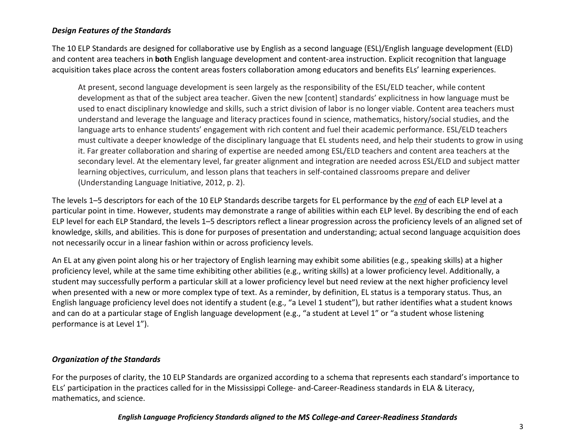#### <span id="page-7-0"></span>*Design Features of the Standards*

The 10 ELP Standards are designed for collaborative use by English as a second language (ESL)/English language development (ELD) and content area teachers in **both** English language development and content-area instruction. Explicit recognition that language acquisition takes place across the content areas fosters collaboration among educators and benefits ELs' learning experiences.

At present, second language development is seen largely as the responsibility of the ESL/ELD teacher, while content development as that of the subject area teacher. Given the new [content] standards' explicitness in how language must be used to enact disciplinary knowledge and skills, such a strict division of labor is no longer viable. Content area teachers must understand and leverage the language and literacy practices found in science, mathematics, history/social studies, and the language arts to enhance students' engagement with rich content and fuel their academic performance. ESL/ELD teachers must cultivate a deeper knowledge of the disciplinary language that EL students need, and help their students to grow in using it. Far greater collaboration and sharing of expertise are needed among ESL/ELD teachers and content area teachers at the secondary level. At the elementary level, far greater alignment and integration are needed across ESL/ELD and subject matter learning objectives, curriculum, and lesson plans that teachers in self-contained classrooms prepare and deliver (Understanding Language Initiative, 2012, p. 2).

The levels 1–5 descriptors for each of the 10 ELP Standards describe targets for EL performance by the *end* of each ELP level at a particular point in time. However, students may demonstrate a range of abilities within each ELP level. By describing the end of each ELP level for each ELP Standard, the levels 1–5 descriptors reflect a linear progression across the proficiency levels of an aligned set of knowledge, skills, and abilities. This is done for purposes of presentation and understanding; actual second language acquisition does not necessarily occur in a linear fashion within or across proficiency levels.

An EL at any given point along his or her trajectory of English learning may exhibit some abilities (e.g., speaking skills) at a higher proficiency level, while at the same time exhibiting other abilities (e.g., writing skills) at a lower proficiency level. Additionally, a student may successfully perform a particular skill at a lower proficiency level but need review at the next higher proficiency level when presented with a new or more complex type of text. As a reminder, by definition, EL status is a temporary status. Thus, an English language proficiency level does not identify a student (e.g., "a Level 1 student"), but rather identifies what a student knows and can do at a particular stage of English language development (e.g., "a student at Level 1" or "a student whose listening performance is at Level 1").

#### <span id="page-7-1"></span>*Organization of the Standards*

For the purposes of clarity, the 10 ELP Standards are organized according to a schema that represents each standard's importance to ELs' participation in the practices called for in the Mississippi College- and-Career-Readiness standards in ELA & Literacy, mathematics, and science.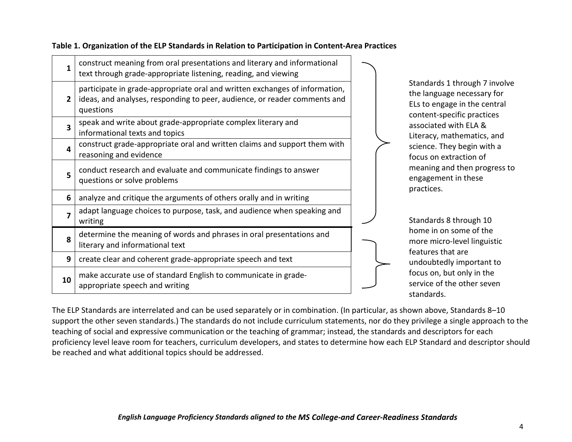| 1  | construct meaning from oral presentations and literary and informational<br>text through grade-appropriate listening, reading, and viewing                            |
|----|-----------------------------------------------------------------------------------------------------------------------------------------------------------------------|
| 2  | participate in grade-appropriate oral and written exchanges of information,<br>ideas, and analyses, responding to peer, audience, or reader comments and<br>questions |
| 3  | speak and write about grade-appropriate complex literary and<br>informational texts and topics                                                                        |
| 4  | construct grade-appropriate oral and written claims and support them with<br>reasoning and evidence                                                                   |
| 5  | conduct research and evaluate and communicate findings to answer<br>questions or solve problems                                                                       |
| 6  | analyze and critique the arguments of others orally and in writing                                                                                                    |
| 7  | adapt language choices to purpose, task, and audience when speaking and<br>writing                                                                                    |
| 8  | determine the meaning of words and phrases in oral presentations and<br>literary and informational text                                                               |
| 9  | create clear and coherent grade-appropriate speech and text                                                                                                           |
| 10 | make accurate use of standard English to communicate in grade-<br>appropriate speech and writing                                                                      |

**Table 1. Organization of the ELP Standards in Relation to Participation in Content-Area Practices**

Standards 1 through 7 involve the language necessary for ELs to engage in the central content-specific practices associated with ELA & Literacy, mathematics, and science. They begin with a focus on extraction of meaning and then progress to engagement in these practices.

Standards 8 through 10 home in on some of the more micro-level linguistic features that are undoubtedly important to focus on, but only in the service of the other seven standards.

The ELP Standards are interrelated and can be used separately or in combination. (In particular, as shown above, Standards 8–10 support the other seven standards.) The standards do not include curriculum statements, nor do they privilege a single approach to the teaching of social and expressive communication or the teaching of grammar; instead, the standards and descriptors for each proficiency level leave room for teachers, curriculum developers, and states to determine how each ELP Standard and descriptor should be reached and what additional topics should be addressed.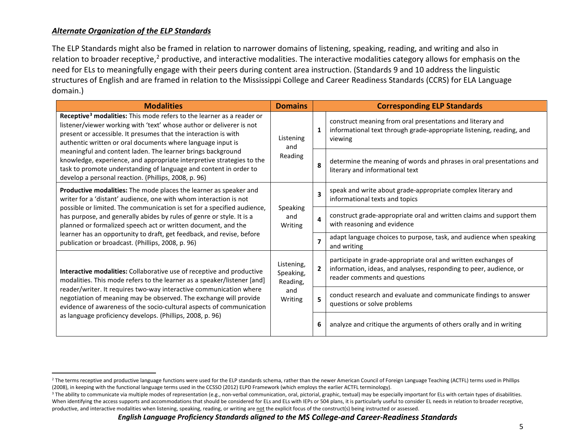#### <span id="page-9-2"></span><span id="page-9-1"></span><span id="page-9-0"></span>*Alternate Organization of the ELP Standards*

The ELP Standards might also be framed in relation to narrower domains of listening, speaking, reading, and writing and also in relation to broader receptive,<sup>[2](#page-9-1)</sup> productive, and interactive modalities. The interactive modalities category allows for emphasis on the need for ELs to meaningfully engage with their peers during content area instruction. (Standards 9 and 10 address the linguistic structures of English and are framed in relation to the Mississippi College and Career Readiness Standards (CCRS) for ELA Language domain.)

| <b>Modalities</b>                                                                                                                                                                                                                                                                                                                                                                                                                                                                                                                                                                               | <b>Domains</b>                      |                         | <b>Corresponding ELP Standards</b>                                                                                                                                    |
|-------------------------------------------------------------------------------------------------------------------------------------------------------------------------------------------------------------------------------------------------------------------------------------------------------------------------------------------------------------------------------------------------------------------------------------------------------------------------------------------------------------------------------------------------------------------------------------------------|-------------------------------------|-------------------------|-----------------------------------------------------------------------------------------------------------------------------------------------------------------------|
| Receptive <sup>3</sup> modalities: This mode refers to the learner as a reader or<br>listener/viewer working with 'text' whose author or deliverer is not<br>present or accessible. It presumes that the interaction is with<br>Listening<br>authentic written or oral documents where language input is<br>and<br>meaningful and content laden. The learner brings background<br>Reading<br>knowledge, experience, and appropriate interpretive strategies to the<br>task to promote understanding of language and content in order to<br>develop a personal reaction. (Phillips, 2008, p. 96) |                                     | 1                       | construct meaning from oral presentations and literary and<br>informational text through grade-appropriate listening, reading, and<br>viewing                         |
|                                                                                                                                                                                                                                                                                                                                                                                                                                                                                                                                                                                                 |                                     | 8                       | determine the meaning of words and phrases in oral presentations and<br>literary and informational text                                                               |
| Productive modalities: The mode places the learner as speaker and<br>writer for a 'distant' audience, one with whom interaction is not                                                                                                                                                                                                                                                                                                                                                                                                                                                          |                                     | $\overline{\mathbf{3}}$ | speak and write about grade-appropriate complex literary and<br>informational texts and topics                                                                        |
| possible or limited. The communication is set for a specified audience,<br>has purpose, and generally abides by rules of genre or style. It is a<br>planned or formalized speech act or written document, and the                                                                                                                                                                                                                                                                                                                                                                               | Speaking<br>and<br>Writing          | 4                       | construct grade-appropriate oral and written claims and support them<br>with reasoning and evidence                                                                   |
| learner has an opportunity to draft, get feedback, and revise, before<br>publication or broadcast. (Phillips, 2008, p. 96)                                                                                                                                                                                                                                                                                                                                                                                                                                                                      |                                     |                         | adapt language choices to purpose, task, and audience when speaking<br>and writing                                                                                    |
| Interactive modalities: Collaborative use of receptive and productive<br>modalities. This mode refers to the learner as a speaker/listener [and]                                                                                                                                                                                                                                                                                                                                                                                                                                                | Listening,<br>Speaking,<br>Reading, | $\overline{2}$          | participate in grade-appropriate oral and written exchanges of<br>information, ideas, and analyses, responding to peer, audience, or<br>reader comments and questions |
| reader/writer. It requires two-way interactive communication where<br>negotiation of meaning may be observed. The exchange will provide<br>evidence of awareness of the socio-cultural aspects of communication                                                                                                                                                                                                                                                                                                                                                                                 | and<br>Writing                      | 5                       | conduct research and evaluate and communicate findings to answer<br>questions or solve problems                                                                       |
| as language proficiency develops. (Phillips, 2008, p. 96)                                                                                                                                                                                                                                                                                                                                                                                                                                                                                                                                       |                                     | 6                       | analyze and critique the arguments of others orally and in writing                                                                                                    |

<sup>&</sup>lt;sup>2</sup> The terms receptive and productive language functions were used for the ELP standards schema, rather than the newer American Council of Foreign Language Teaching (ACTFL) terms used in Phillips (2008), in keeping with the functional language terms used in the CCSSO (2012) ELPD Framework (which employs the earlier ACTFL terminology).

<sup>&</sup>lt;sup>3</sup> The ability to communicate via multiple modes of representation (e.g., non-verbal communication, oral, pictorial, graphic, textual) may be especially important for ELs with certain types of disabilities. When identifying the access supports and accommodations that should be considered for ELs and ELs with IEPs or 504 plans, it is particularly useful to consider EL needs in relation to broader receptive, productive, and interactive modalities when listening, speaking, reading, or writing are not be explicit focus of the construct(s) being instructed or assessed.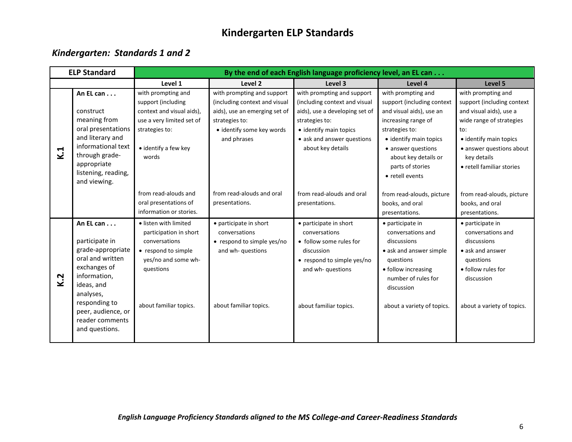# **Kindergarten ELP Standards**

## <span id="page-10-1"></span><span id="page-10-0"></span>*Kindergarten: Standards 1 and 2*

|     | <b>ELP Standard</b>                                                                                                                                                                                         | By the end of each English language proficiency level, an EL can                                                                                      |                                                                                                                     |                                                                                                                                                               |                                                                                                                                                                                        |                                                                                                                                                                 |  |
|-----|-------------------------------------------------------------------------------------------------------------------------------------------------------------------------------------------------------------|-------------------------------------------------------------------------------------------------------------------------------------------------------|---------------------------------------------------------------------------------------------------------------------|---------------------------------------------------------------------------------------------------------------------------------------------------------------|----------------------------------------------------------------------------------------------------------------------------------------------------------------------------------------|-----------------------------------------------------------------------------------------------------------------------------------------------------------------|--|
|     |                                                                                                                                                                                                             | Level 1                                                                                                                                               | Level 2                                                                                                             | Level 3                                                                                                                                                       | Level 4                                                                                                                                                                                | Level 5                                                                                                                                                         |  |
|     | An EL can<br>construct                                                                                                                                                                                      | with prompting and<br>support (including<br>context and visual aids),                                                                                 | with prompting and support<br>(including context and visual<br>aids), use an emerging set of                        | with prompting and support<br>(including context and visual<br>aids), use a developing set of                                                                 | with prompting and<br>support (including context<br>and visual aids), use an                                                                                                           | with prompting and<br>support (including context<br>and visual aids), use a                                                                                     |  |
| K.1 | meaning from<br>oral presentations<br>and literary and<br>informational text<br>through grade-<br>appropriate<br>listening, reading,<br>and viewing.                                                        | use a very limited set of<br>strategies to:<br>• identify a few key<br>words                                                                          | strategies to:<br>· identify some key words<br>and phrases                                                          | strategies to:<br>• identify main topics<br>• ask and answer questions<br>about key details                                                                   | increasing range of<br>strategies to:<br>• identify main topics<br>• answer questions<br>about key details or<br>parts of stories<br>• retell events                                   | wide range of strategies<br>to:<br>• identify main topics<br>• answer questions about<br>key details<br>• retell familiar stories                               |  |
|     |                                                                                                                                                                                                             | from read-alouds and<br>oral presentations of<br>information or stories.                                                                              | from read-alouds and oral<br>presentations.                                                                         | from read-alouds and oral<br>presentations.                                                                                                                   | from read-alouds, picture<br>books, and oral<br>presentations.                                                                                                                         | from read-alouds, picture<br>books, and oral<br>presentations.                                                                                                  |  |
| K.2 | An EL can<br>participate in<br>grade-appropriate<br>oral and written<br>exchanges of<br>information,<br>ideas, and<br>analyses,<br>responding to<br>peer, audience, or<br>reader comments<br>and questions. | · listen with limited<br>participation in short<br>conversations<br>• respond to simple<br>yes/no and some wh-<br>questions<br>about familiar topics. | • participate in short<br>conversations<br>• respond to simple yes/no<br>and wh-questions<br>about familiar topics. | • participate in short<br>conversations<br>• follow some rules for<br>discussion<br>• respond to simple yes/no<br>and wh- questions<br>about familiar topics. | • participate in<br>conversations and<br>discussions<br>• ask and answer simple<br>questions<br>• follow increasing<br>number of rules for<br>discussion<br>about a variety of topics. | • participate in<br>conversations and<br>discussions<br>$\bullet$ ask and answer<br>questions<br>• follow rules for<br>discussion<br>about a variety of topics. |  |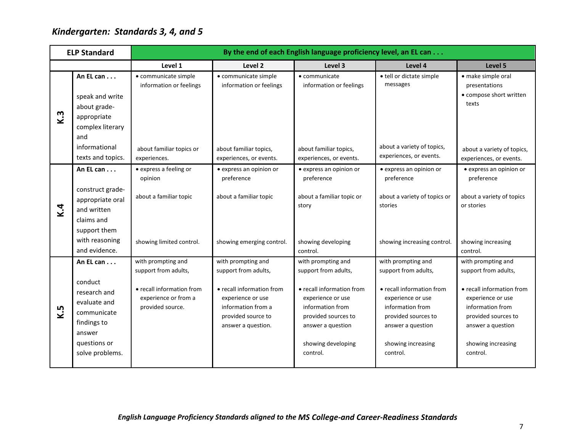# <span id="page-11-0"></span>*Kindergarten: Standards 3, 4, and 5*

|     | <b>ELP Standard</b>                                                                                                | By the end of each English language proficiency level, an EL can      |                                                                                                                  |                                                                                                                                                  |                                                                                                                                                  |                                                                                                                                                  |  |
|-----|--------------------------------------------------------------------------------------------------------------------|-----------------------------------------------------------------------|------------------------------------------------------------------------------------------------------------------|--------------------------------------------------------------------------------------------------------------------------------------------------|--------------------------------------------------------------------------------------------------------------------------------------------------|--------------------------------------------------------------------------------------------------------------------------------------------------|--|
|     |                                                                                                                    | Level 1                                                               | Level 2                                                                                                          | Level 3                                                                                                                                          | Level 4                                                                                                                                          | Level 5                                                                                                                                          |  |
|     | An EL can                                                                                                          | • communicate simple<br>information or feelings                       | • communicate simple<br>information or feelings                                                                  | • communicate<br>information or feelings                                                                                                         | · tell or dictate simple<br>messages                                                                                                             | • make simple oral<br>presentations                                                                                                              |  |
| K.3 | speak and write                                                                                                    |                                                                       |                                                                                                                  |                                                                                                                                                  |                                                                                                                                                  | • compose short written<br>texts                                                                                                                 |  |
|     | about grade-                                                                                                       |                                                                       |                                                                                                                  |                                                                                                                                                  |                                                                                                                                                  |                                                                                                                                                  |  |
|     | appropriate<br>complex literary                                                                                    |                                                                       |                                                                                                                  |                                                                                                                                                  |                                                                                                                                                  |                                                                                                                                                  |  |
|     | and                                                                                                                |                                                                       |                                                                                                                  |                                                                                                                                                  |                                                                                                                                                  |                                                                                                                                                  |  |
|     | informational<br>texts and topics.                                                                                 | about familiar topics or<br>experiences.                              | about familiar topics,<br>experiences, or events.                                                                | about familiar topics,<br>experiences, or events.                                                                                                | about a variety of topics,<br>experiences, or events.                                                                                            | about a variety of topics,<br>experiences, or events.                                                                                            |  |
|     | An EL can                                                                                                          | • express a feeling or<br>opinion                                     | · express an opinion or<br>preference                                                                            | · express an opinion or<br>preference                                                                                                            | • express an opinion or<br>preference                                                                                                            | • express an opinion or<br>preference                                                                                                            |  |
|     | construct grade-<br>appropriate oral<br>and written                                                                | about a familiar topic                                                | about a familiar topic                                                                                           | about a familiar topic or<br>story                                                                                                               | about a variety of topics or<br>stories                                                                                                          | about a variety of topics<br>or stories                                                                                                          |  |
| K.4 | claims and<br>support them                                                                                         |                                                                       |                                                                                                                  |                                                                                                                                                  |                                                                                                                                                  |                                                                                                                                                  |  |
|     | with reasoning<br>and evidence.                                                                                    | showing limited control.                                              | showing emerging control.                                                                                        | showing developing<br>control.                                                                                                                   | showing increasing control.                                                                                                                      | showing increasing<br>control.                                                                                                                   |  |
|     | An EL can                                                                                                          | with prompting and<br>support from adults,                            | with prompting and<br>support from adults,                                                                       | with prompting and<br>support from adults,                                                                                                       | with prompting and<br>support from adults,                                                                                                       | with prompting and<br>support from adults,                                                                                                       |  |
| K.5 | conduct<br>research and<br>evaluate and<br>communicate<br>findings to<br>answer<br>questions or<br>solve problems. | • recall information from<br>experience or from a<br>provided source. | • recall information from<br>experience or use<br>information from a<br>provided source to<br>answer a question. | • recall information from<br>experience or use<br>information from<br>provided sources to<br>answer a question<br>showing developing<br>control. | • recall information from<br>experience or use<br>information from<br>provided sources to<br>answer a question<br>showing increasing<br>control. | • recall information from<br>experience or use<br>information from<br>provided sources to<br>answer a question<br>showing increasing<br>control. |  |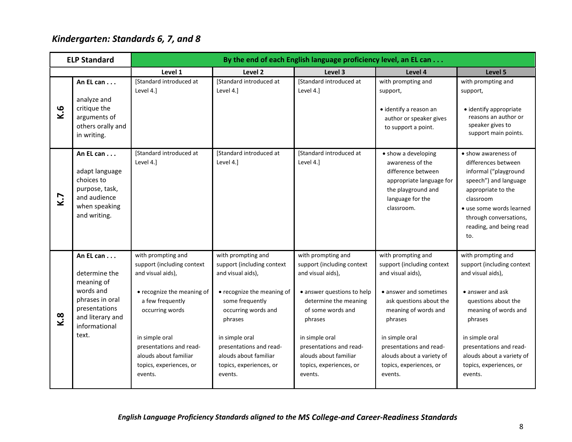# <span id="page-12-0"></span>*Kindergarten: Standards 6, 7, and 8*

|     | <b>ELP Standard</b>                                                                                                                     | By the end of each English language proficiency level, an EL can                                                                                                                                                                                       |                                                                                                                                                                                                                                                                      |                                                                                                                                                                                                                                                                          |                                                                                                                                                                                                                                                                               |                                                                                                                                                                                                                                                                     |  |  |
|-----|-----------------------------------------------------------------------------------------------------------------------------------------|--------------------------------------------------------------------------------------------------------------------------------------------------------------------------------------------------------------------------------------------------------|----------------------------------------------------------------------------------------------------------------------------------------------------------------------------------------------------------------------------------------------------------------------|--------------------------------------------------------------------------------------------------------------------------------------------------------------------------------------------------------------------------------------------------------------------------|-------------------------------------------------------------------------------------------------------------------------------------------------------------------------------------------------------------------------------------------------------------------------------|---------------------------------------------------------------------------------------------------------------------------------------------------------------------------------------------------------------------------------------------------------------------|--|--|
|     |                                                                                                                                         | Level 1                                                                                                                                                                                                                                                | Level 2                                                                                                                                                                                                                                                              | Level 3                                                                                                                                                                                                                                                                  | Level 4                                                                                                                                                                                                                                                                       | Level 5                                                                                                                                                                                                                                                             |  |  |
| K.6 | An EL can<br>analyze and<br>critique the<br>arguments of<br>others orally and<br>in writing.                                            | [Standard introduced at<br>Level 4.]                                                                                                                                                                                                                   | [Standard introduced at<br>Level 4.]                                                                                                                                                                                                                                 | [Standard introduced at<br>Level 4.]                                                                                                                                                                                                                                     | with prompting and<br>support,<br>· identify a reason an<br>author or speaker gives<br>to support a point.                                                                                                                                                                    | with prompting and<br>support,<br>· identify appropriate<br>reasons an author or<br>speaker gives to<br>support main points.                                                                                                                                        |  |  |
| K.7 | An EL can<br>adapt language<br>choices to<br>purpose, task,<br>and audience<br>when speaking<br>and writing.                            | [Standard introduced at<br>Level 4.]                                                                                                                                                                                                                   | <b>IStandard introduced at</b><br>Level 4.]                                                                                                                                                                                                                          | <b>IStandard introduced at</b><br>Level 4.]                                                                                                                                                                                                                              | • show a developing<br>awareness of the<br>difference between<br>appropriate language for<br>the playground and<br>language for the<br>classroom.                                                                                                                             | • show awareness of<br>differences between<br>informal ("playground<br>speech") and language<br>appropriate to the<br>classroom<br>• use some words learned<br>through conversations,<br>reading, and being read<br>to.                                             |  |  |
| K.8 | An EL can<br>determine the<br>meaning of<br>words and<br>phrases in oral<br>presentations<br>and literary and<br>informational<br>text. | with prompting and<br>support (including context<br>and visual aids),<br>• recognize the meaning of<br>a few frequently<br>occurring words<br>in simple oral<br>presentations and read-<br>alouds about familiar<br>topics, experiences, or<br>events. | with prompting and<br>support (including context<br>and visual aids),<br>• recognize the meaning of<br>some frequently<br>occurring words and<br>phrases<br>in simple oral<br>presentations and read-<br>alouds about familiar<br>topics, experiences, or<br>events. | with prompting and<br>support (including context<br>and visual aids),<br>· answer questions to help<br>determine the meaning<br>of some words and<br>phrases<br>in simple oral<br>presentations and read-<br>alouds about familiar<br>topics, experiences, or<br>events. | with prompting and<br>support (including context<br>and visual aids),<br>• answer and sometimes<br>ask questions about the<br>meaning of words and<br>phrases<br>in simple oral<br>presentations and read-<br>alouds about a variety of<br>topics, experiences, or<br>events. | with prompting and<br>support (including context<br>and visual aids),<br>• answer and ask<br>questions about the<br>meaning of words and<br>phrases<br>in simple oral<br>presentations and read-<br>alouds about a variety of<br>topics, experiences, or<br>events. |  |  |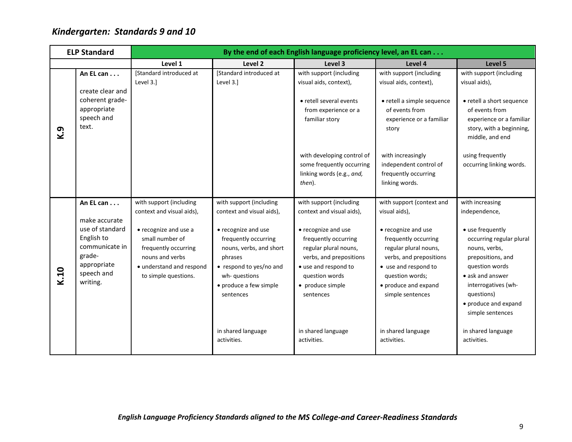# <span id="page-13-0"></span>*Kindergarten: Standards 9 and 10*

|      | <b>ELP Standard</b>                                                                                                              | By the end of each English language proficiency level, an EL can                                                                                                                                |                                                                                                                                                                                                                             |                                                                                                                                                                                                                                    |                                                                                                                                                                                                                                      |                                                                                                                                                                                                                                               |  |  |
|------|----------------------------------------------------------------------------------------------------------------------------------|-------------------------------------------------------------------------------------------------------------------------------------------------------------------------------------------------|-----------------------------------------------------------------------------------------------------------------------------------------------------------------------------------------------------------------------------|------------------------------------------------------------------------------------------------------------------------------------------------------------------------------------------------------------------------------------|--------------------------------------------------------------------------------------------------------------------------------------------------------------------------------------------------------------------------------------|-----------------------------------------------------------------------------------------------------------------------------------------------------------------------------------------------------------------------------------------------|--|--|
|      |                                                                                                                                  | Level 1                                                                                                                                                                                         | Level <sub>2</sub>                                                                                                                                                                                                          | Level 3                                                                                                                                                                                                                            | Level 4                                                                                                                                                                                                                              | Level 5                                                                                                                                                                                                                                       |  |  |
| K.9  | An EL can<br>create clear and<br>coherent grade-<br>appropriate<br>speech and<br>text.                                           | [Standard introduced at<br>Level 3.]                                                                                                                                                            | [Standard introduced at<br>Level 3.]                                                                                                                                                                                        | with support (including<br>visual aids, context),<br>• retell several events<br>from experience or a<br>familiar story                                                                                                             | with support (including<br>visual aids, context),<br>• retell a simple sequence<br>of events from<br>experience or a familiar<br>story                                                                                               | with support (including<br>visual aids),<br>• retell a short sequence<br>of events from<br>experience or a familiar<br>story, with a beginning,<br>middle, and end                                                                            |  |  |
|      |                                                                                                                                  |                                                                                                                                                                                                 |                                                                                                                                                                                                                             | with developing control of<br>some frequently occurring<br>linking words (e.g., and,<br>then).                                                                                                                                     | with increasingly<br>independent control of<br>frequently occurring<br>linking words.                                                                                                                                                | using frequently<br>occurring linking words.                                                                                                                                                                                                  |  |  |
| K.10 | An EL can<br>make accurate<br>use of standard<br>English to<br>communicate in<br>grade-<br>appropriate<br>speech and<br>writing. | with support (including<br>context and visual aids),<br>• recognize and use a<br>small number of<br>frequently occurring<br>nouns and verbs<br>• understand and respond<br>to simple questions. | with support (including<br>context and visual aids),<br>• recognize and use<br>frequently occurring<br>nouns, verbs, and short<br>phrases<br>• respond to yes/no and<br>wh-questions<br>• produce a few simple<br>sentences | with support (including<br>context and visual aids),<br>• recognize and use<br>frequently occurring<br>regular plural nouns,<br>verbs, and prepositions<br>• use and respond to<br>question words<br>• produce simple<br>sentences | with support (context and<br>visual aids),<br>• recognize and use<br>frequently occurring<br>regular plural nouns,<br>verbs, and prepositions<br>• use and respond to<br>question words;<br>• produce and expand<br>simple sentences | with increasing<br>independence,<br>• use frequently<br>occurring regular plural<br>nouns, verbs,<br>prepositions, and<br>question words<br>• ask and answer<br>interrogatives (wh-<br>questions)<br>• produce and expand<br>simple sentences |  |  |
|      |                                                                                                                                  |                                                                                                                                                                                                 | in shared language<br>activities.                                                                                                                                                                                           | in shared language<br>activities.                                                                                                                                                                                                  | in shared language<br>activities.                                                                                                                                                                                                    | in shared language<br>activities.                                                                                                                                                                                                             |  |  |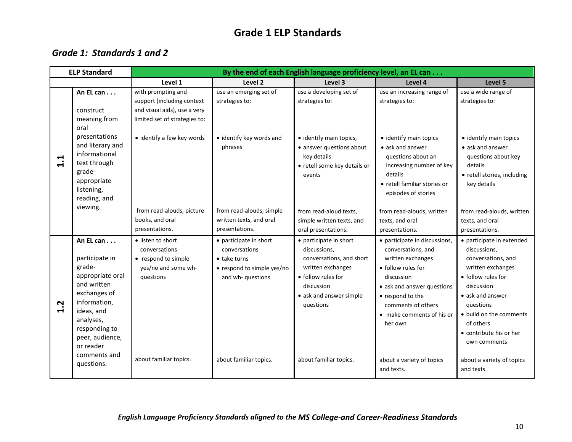## **Grade 1 ELP Standards**

## <span id="page-14-1"></span><span id="page-14-0"></span>*Grade 1: Standards 1 and 2*

|                     | <b>ELP Standard</b>                                                                                                                                                                                  | By the end of each English language proficiency level, an EL can                                                  |                                                                                                            |                                                                                                                                                                     |                                                                                                                                                                                                                              |                                                                                                                                                                                                                                              |  |
|---------------------|------------------------------------------------------------------------------------------------------------------------------------------------------------------------------------------------------|-------------------------------------------------------------------------------------------------------------------|------------------------------------------------------------------------------------------------------------|---------------------------------------------------------------------------------------------------------------------------------------------------------------------|------------------------------------------------------------------------------------------------------------------------------------------------------------------------------------------------------------------------------|----------------------------------------------------------------------------------------------------------------------------------------------------------------------------------------------------------------------------------------------|--|
|                     |                                                                                                                                                                                                      | Level 1                                                                                                           | Level 2                                                                                                    | Level 3                                                                                                                                                             | Level 4                                                                                                                                                                                                                      | Level 5                                                                                                                                                                                                                                      |  |
|                     | An EL can<br>construct<br>meaning from<br>oral                                                                                                                                                       | with prompting and<br>support (including context<br>and visual aids), use a very<br>limited set of strategies to: | use an emerging set of<br>strategies to:                                                                   | use a developing set of<br>strategies to:                                                                                                                           | use an increasing range of<br>strategies to:                                                                                                                                                                                 | use a wide range of<br>strategies to:                                                                                                                                                                                                        |  |
| 1.1                 | presentations<br>and literary and<br>informational<br>text through<br>grade-<br>appropriate<br>listening,<br>reading, and                                                                            | • identify a few key words                                                                                        | · identify key words and<br>phrases                                                                        | • identify main topics,<br>• answer questions about<br>key details<br>• retell some key details or<br>events                                                        | • identify main topics<br>• ask and answer<br>questions about an<br>increasing number of key<br>details<br>• retell familiar stories or<br>episodes of stories                                                               | • identify main topics<br>• ask and answer<br>questions about key<br>details<br>• retell stories, including<br>key details                                                                                                                   |  |
|                     | viewing.                                                                                                                                                                                             | from read-alouds, picture<br>books, and oral<br>presentations.                                                    | from read-alouds, simple<br>written texts, and oral<br>presentations.                                      | from read-aloud texts.<br>simple written texts, and<br>oral presentations.                                                                                          | from read-alouds, written<br>texts, and oral<br>presentations.                                                                                                                                                               | from read-alouds, written<br>texts, and oral<br>presentations.                                                                                                                                                                               |  |
| Ņ<br>$\blacksquare$ | An EL can<br>participate in<br>grade-<br>appropriate oral<br>and written<br>exchanges of<br>information,<br>ideas, and<br>analyses,<br>responding to<br>peer, audience,<br>or reader<br>comments and | • listen to short<br>conversations<br>• respond to simple<br>yes/no and some wh-<br>questions                     | • participate in short<br>conversations<br>• take turns<br>• respond to simple yes/no<br>and wh- questions | • participate in short<br>discussions,<br>conversations, and short<br>written exchanges<br>• follow rules for<br>discussion<br>• ask and answer simple<br>questions | • participate in discussions,<br>conversations, and<br>written exchanges<br>• follow rules for<br>discussion<br>• ask and answer questions<br>• respond to the<br>comments of others<br>• make comments of his or<br>her own | · participate in extended<br>discussions,<br>conversations, and<br>written exchanges<br>• follow rules for<br>discussion<br>• ask and answer<br>questions<br>• build on the comments<br>of others<br>• contribute his or her<br>own comments |  |
|                     | questions.                                                                                                                                                                                           | about familiar topics.                                                                                            | about familiar topics.                                                                                     | about familiar topics.                                                                                                                                              | about a variety of topics<br>and texts.                                                                                                                                                                                      | about a variety of topics<br>and texts.                                                                                                                                                                                                      |  |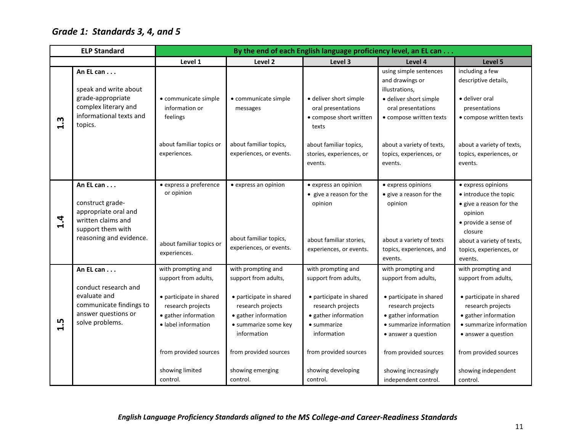# <span id="page-15-0"></span>*Grade 1: Standards 3, 4, and 5*

|                | <b>ELP Standard</b>                                                                                                         | By the end of each English language proficiency level, an EL can                                                                                                                      |                                                                                                                                                                                                        |                                                                                                                                                                                                 |                                                                                                                                                                                                                                               |                                                                                                                                                                                                                      |  |
|----------------|-----------------------------------------------------------------------------------------------------------------------------|---------------------------------------------------------------------------------------------------------------------------------------------------------------------------------------|--------------------------------------------------------------------------------------------------------------------------------------------------------------------------------------------------------|-------------------------------------------------------------------------------------------------------------------------------------------------------------------------------------------------|-----------------------------------------------------------------------------------------------------------------------------------------------------------------------------------------------------------------------------------------------|----------------------------------------------------------------------------------------------------------------------------------------------------------------------------------------------------------------------|--|
|                |                                                                                                                             | Level 1                                                                                                                                                                               | Level 2                                                                                                                                                                                                | Level 3                                                                                                                                                                                         | Level 4                                                                                                                                                                                                                                       | Level 5                                                                                                                                                                                                              |  |
| m<br>$\vec{r}$ | An EL can<br>speak and write about<br>grade-appropriate<br>complex literary and<br>informational texts and<br>topics.       | · communicate simple<br>information or<br>feelings                                                                                                                                    | • communicate simple<br>messages                                                                                                                                                                       | · deliver short simple<br>oral presentations<br>• compose short written<br>texts                                                                                                                | using simple sentences<br>and drawings or<br>illustrations,<br>· deliver short simple<br>oral presentations<br>• compose written texts                                                                                                        | including a few<br>descriptive details,<br>• deliver oral<br>presentations<br>• compose written texts                                                                                                                |  |
|                |                                                                                                                             | about familiar topics or<br>experiences.                                                                                                                                              | about familiar topics,<br>experiences, or events.                                                                                                                                                      | about familiar topics,<br>stories, experiences, or<br>events.                                                                                                                                   | about a variety of texts,<br>topics, experiences, or<br>events.                                                                                                                                                                               | about a variety of texts,<br>topics, experiences, or<br>events.                                                                                                                                                      |  |
| 1.4            | An EL can<br>construct grade-<br>appropriate oral and<br>written claims and<br>support them with<br>reasoning and evidence. | · express a preference<br>or opinion<br>about familiar topics or<br>experiences.                                                                                                      | • express an opinion<br>about familiar topics,<br>experiences, or events.                                                                                                                              | • express an opinion<br>• give a reason for the<br>opinion<br>about familiar stories,<br>experiences, or events.                                                                                | • express opinions<br>• give a reason for the<br>opinion<br>about a variety of texts<br>topics, experiences, and<br>events.                                                                                                                   | • express opinions<br>• introduce the topic<br>• give a reason for the<br>opinion<br>• provide a sense of<br>closure<br>about a variety of texts,<br>topics, experiences, or<br>events.                              |  |
| ம              | An EL can<br>conduct research and<br>evaluate and<br>communicate findings to<br>answer questions or<br>solve problems.      | with prompting and<br>support from adults,<br>• participate in shared<br>research projects<br>• gather information<br>· label information<br>from provided sources<br>showing limited | with prompting and<br>support from adults,<br>• participate in shared<br>research projects<br>• gather information<br>• summarize some key<br>information<br>from provided sources<br>showing emerging | with prompting and<br>support from adults,<br>• participate in shared<br>research projects<br>• gather information<br>• summarize<br>information<br>from provided sources<br>showing developing | with prompting and<br>support from adults,<br>• participate in shared<br>research projects<br>• gather information<br>· summarize information<br>• answer a question<br>from provided sources<br>showing increasingly<br>independent control. | with prompting and<br>support from adults,<br>• participate in shared<br>research projects<br>• gather information<br>• summarize information<br>• answer a question<br>from provided sources<br>showing independent |  |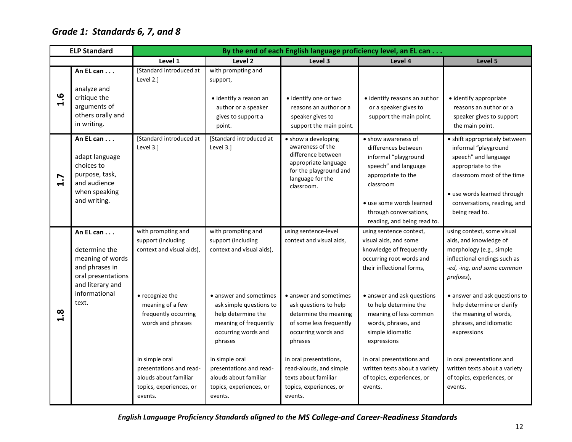# <span id="page-16-0"></span>*Grade 1: Standards 6, 7, and 8*

|     | <b>ELP Standard</b>                                                                                                                  | By the end of each English language proficiency level, an EL can                                                                                                            |                                                                                                                                                                                                                               |                                                                                                                                                                                                                     |                                                                                                                                                                                                                                                                                                              |                                                                                                                                                                                                                                                                                                                           |  |
|-----|--------------------------------------------------------------------------------------------------------------------------------------|-----------------------------------------------------------------------------------------------------------------------------------------------------------------------------|-------------------------------------------------------------------------------------------------------------------------------------------------------------------------------------------------------------------------------|---------------------------------------------------------------------------------------------------------------------------------------------------------------------------------------------------------------------|--------------------------------------------------------------------------------------------------------------------------------------------------------------------------------------------------------------------------------------------------------------------------------------------------------------|---------------------------------------------------------------------------------------------------------------------------------------------------------------------------------------------------------------------------------------------------------------------------------------------------------------------------|--|
|     |                                                                                                                                      | Level 1                                                                                                                                                                     | Level 2                                                                                                                                                                                                                       | Level 3                                                                                                                                                                                                             | Level 4                                                                                                                                                                                                                                                                                                      | Level 5                                                                                                                                                                                                                                                                                                                   |  |
| 1.6 | An EL can<br>analyze and<br>critique the<br>arguments of<br>others orally and<br>in writing.                                         | [Standard introduced at<br>Level 2.1                                                                                                                                        | with prompting and<br>support,<br>• identify a reason an<br>author or a speaker<br>gives to support a<br>point.                                                                                                               | • identify one or two<br>reasons an author or a<br>speaker gives to<br>support the main point.                                                                                                                      | • identify reasons an author<br>or a speaker gives to<br>support the main point.                                                                                                                                                                                                                             | · identify appropriate<br>reasons an author or a<br>speaker gives to support<br>the main point.                                                                                                                                                                                                                           |  |
| 1.7 | An EL can<br>adapt language<br>choices to<br>purpose, task,<br>and audience<br>when speaking<br>and writing.                         | [Standard introduced at<br>Level 3.1                                                                                                                                        | [Standard introduced at<br>Level 3.]                                                                                                                                                                                          | • show a developing<br>awareness of the<br>difference between<br>appropriate language<br>for the playground and<br>language for the<br>classroom.                                                                   | • show awareness of<br>differences between<br>informal "playground<br>speech" and language<br>appropriate to the<br>classroom<br>• use some words learned<br>through conversations,<br>reading, and being read to.                                                                                           | • shift appropriately between<br>informal "playground<br>speech" and language<br>appropriate to the<br>classroom most of the time<br>• use words learned through<br>conversations, reading, and<br>being read to.                                                                                                         |  |
| 3.8 | An EL can<br>determine the<br>meaning of words<br>and phrases in<br>oral presentations<br>and literary and<br>informational<br>text. | with prompting and<br>support (including<br>context and visual aids),<br>• recognize the<br>meaning of a few<br>frequently occurring<br>words and phrases<br>in simple oral | with prompting and<br>support (including<br>context and visual aids),<br>• answer and sometimes<br>ask simple questions to<br>help determine the<br>meaning of frequently<br>occurring words and<br>phrases<br>in simple oral | using sentence-level<br>context and visual aids,<br>• answer and sometimes<br>ask questions to help<br>determine the meaning<br>of some less frequently<br>occurring words and<br>phrases<br>in oral presentations, | using sentence context,<br>visual aids, and some<br>knowledge of frequently<br>occurring root words and<br>their inflectional forms,<br>• answer and ask questions<br>to help determine the<br>meaning of less common<br>words, phrases, and<br>simple idiomatic<br>expressions<br>in oral presentations and | using context, some visual<br>aids, and knowledge of<br>morphology (e.g., simple<br>inflectional endings such as<br>-ed, -ing, and some common<br>prefixes),<br>• answer and ask questions to<br>help determine or clarify<br>the meaning of words,<br>phrases, and idiomatic<br>expressions<br>in oral presentations and |  |
|     |                                                                                                                                      | presentations and read-<br>alouds about familiar<br>topics, experiences, or<br>events.                                                                                      | presentations and read-<br>alouds about familiar<br>topics, experiences, or<br>events.                                                                                                                                        | read-alouds, and simple<br>texts about familiar<br>topics, experiences, or<br>events.                                                                                                                               | written texts about a variety<br>of topics, experiences, or<br>events.                                                                                                                                                                                                                                       | written texts about a variety<br>of topics, experiences, or<br>events.                                                                                                                                                                                                                                                    |  |

*English Language Proficiency Standards aligned to the MS College-and Career-Readiness Standards*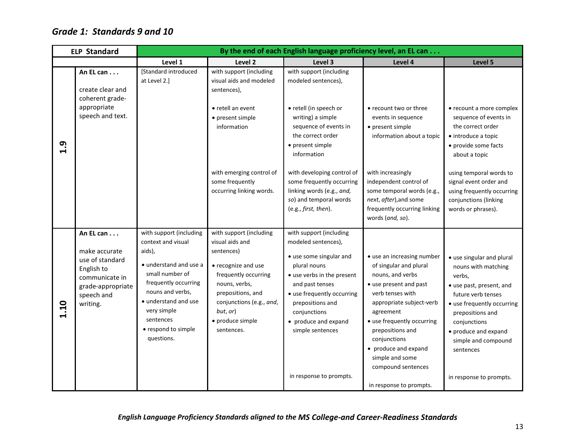## <span id="page-17-0"></span>*Grade 1: Standards 9 and 10*

|                 | <b>ELP Standard</b>                                                                                                          |                                                                                                                                                                                                                                           |                                                                                                                                                                                                                         | By the end of each English language proficiency level, an EL can                                                                                                                                                                                         |                                                                                                                                                                                                                                                                                                    |                                                                                                                                                                                                                                            |
|-----------------|------------------------------------------------------------------------------------------------------------------------------|-------------------------------------------------------------------------------------------------------------------------------------------------------------------------------------------------------------------------------------------|-------------------------------------------------------------------------------------------------------------------------------------------------------------------------------------------------------------------------|----------------------------------------------------------------------------------------------------------------------------------------------------------------------------------------------------------------------------------------------------------|----------------------------------------------------------------------------------------------------------------------------------------------------------------------------------------------------------------------------------------------------------------------------------------------------|--------------------------------------------------------------------------------------------------------------------------------------------------------------------------------------------------------------------------------------------|
|                 |                                                                                                                              | Level 1                                                                                                                                                                                                                                   | Level <sub>2</sub>                                                                                                                                                                                                      | Level 3                                                                                                                                                                                                                                                  | Level 4                                                                                                                                                                                                                                                                                            | Level 5                                                                                                                                                                                                                                    |
|                 | An EL can<br>create clear and<br>coherent grade-                                                                             | [Standard introduced<br>at Level 2.]                                                                                                                                                                                                      | with support (including<br>visual aids and modeled<br>sentences),                                                                                                                                                       | with support (including<br>modeled sentences),                                                                                                                                                                                                           |                                                                                                                                                                                                                                                                                                    |                                                                                                                                                                                                                                            |
| $\mathbf{a}$ :1 | appropriate<br>speech and text.                                                                                              |                                                                                                                                                                                                                                           | • retell an event<br>• present simple<br>information                                                                                                                                                                    | • retell (in speech or<br>writing) a simple<br>sequence of events in<br>the correct order<br>• present simple<br>information                                                                                                                             | • recount two or three<br>events in sequence<br>• present simple<br>information about a topic                                                                                                                                                                                                      | • recount a more complex<br>sequence of events in<br>the correct order<br>• introduce a topic<br>• provide some facts<br>about a topic                                                                                                     |
|                 |                                                                                                                              |                                                                                                                                                                                                                                           | with emerging control of<br>some frequently<br>occurring linking words.                                                                                                                                                 | with developing control of<br>some frequently occurring<br>linking words (e.g., and,<br>so) and temporal words<br>(e.g., first, then).                                                                                                                   | with increasingly<br>independent control of<br>some temporal words (e.g.,<br>next, after), and some<br>frequently occurring linking<br>words (and, so).                                                                                                                                            | using temporal words to<br>signal event order and<br>using frequently occurring<br>conjunctions (linking<br>words or phrases).                                                                                                             |
| 1.10            | An EL can<br>make accurate<br>use of standard<br>English to<br>communicate in<br>grade-appropriate<br>speech and<br>writing. | with support (including<br>context and visual<br>aids),<br>• understand and use a<br>small number of<br>frequently occurring<br>nouns and verbs,<br>• understand and use<br>very simple<br>sentences<br>• respond to simple<br>questions. | with support (including<br>visual aids and<br>sentences)<br>• recognize and use<br>frequently occurring<br>nouns, verbs,<br>prepositions, and<br>conjunctions (e.g., and,<br>but, or)<br>• produce simple<br>sentences. | with support (including<br>modeled sentences),<br>• use some singular and<br>plural nouns<br>• use verbs in the present<br>and past tenses<br>• use frequently occurring<br>prepositions and<br>conjunctions<br>• produce and expand<br>simple sentences | · use an increasing number<br>of singular and plural<br>nouns, and verbs<br>• use present and past<br>verb tenses with<br>appropriate subject-verb<br>agreement<br>· use frequently occurring<br>prepositions and<br>conjunctions<br>• produce and expand<br>simple and some<br>compound sentences | • use singular and plural<br>nouns with matching<br>verbs,<br>• use past, present, and<br>future verb tenses<br>• use frequently occurring<br>prepositions and<br>conjunctions<br>• produce and expand<br>simple and compound<br>sentences |
|                 |                                                                                                                              |                                                                                                                                                                                                                                           |                                                                                                                                                                                                                         | in response to prompts.                                                                                                                                                                                                                                  | in response to prompts.                                                                                                                                                                                                                                                                            | in response to prompts.                                                                                                                                                                                                                    |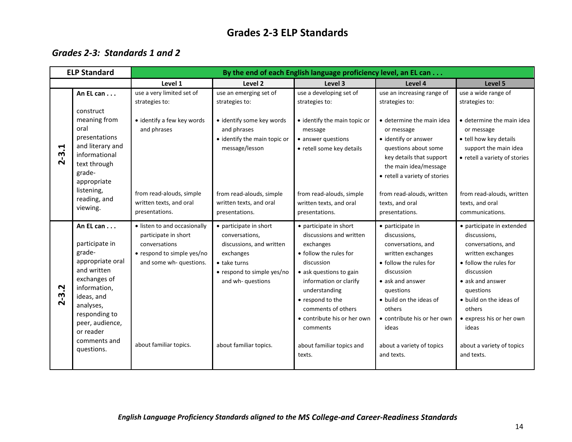## **Grades 2-3 ELP Standards**

## <span id="page-18-1"></span><span id="page-18-0"></span>*Grades 2-3: Standards 1 and 2*

|               | <b>ELP Standard</b>                                                                                                                                                                                  | By the end of each English language proficiency level, an EL can                                                                                         |                                                                                                                                                                                |                                                                                                                                                                                                                                                                   |                                                                                                                                                                                                                                   |                                                                                                                                                                                                                                         |  |
|---------------|------------------------------------------------------------------------------------------------------------------------------------------------------------------------------------------------------|----------------------------------------------------------------------------------------------------------------------------------------------------------|--------------------------------------------------------------------------------------------------------------------------------------------------------------------------------|-------------------------------------------------------------------------------------------------------------------------------------------------------------------------------------------------------------------------------------------------------------------|-----------------------------------------------------------------------------------------------------------------------------------------------------------------------------------------------------------------------------------|-----------------------------------------------------------------------------------------------------------------------------------------------------------------------------------------------------------------------------------------|--|
|               |                                                                                                                                                                                                      | Level 1                                                                                                                                                  | Level 2                                                                                                                                                                        | Level 3                                                                                                                                                                                                                                                           | Level 4                                                                                                                                                                                                                           | Level 5                                                                                                                                                                                                                                 |  |
|               | An EL can<br>construct                                                                                                                                                                               | use a very limited set of<br>strategies to:                                                                                                              | use an emerging set of<br>strategies to:                                                                                                                                       | use a developing set of<br>strategies to:                                                                                                                                                                                                                         | use an increasing range of<br>strategies to:                                                                                                                                                                                      | use a wide range of<br>strategies to:                                                                                                                                                                                                   |  |
| $2 - 3.1$     | meaning from<br>oral<br>presentations<br>and literary and<br>informational<br>text through<br>grade-<br>appropriate<br>listening,                                                                    | • identify a few key words<br>and phrases                                                                                                                | · identify some key words<br>and phrases<br>· identify the main topic or<br>message/lesson                                                                                     | • identify the main topic or<br>message<br>• answer questions<br>• retell some key details                                                                                                                                                                        | • determine the main idea<br>or message<br>• identify or answer<br>questions about some<br>key details that support<br>the main idea/message<br>• retell a variety of stories                                                     | • determine the main idea<br>or message<br>• tell how key details<br>support the main idea<br>• retell a variety of stories                                                                                                             |  |
|               | reading, and<br>viewing.                                                                                                                                                                             | from read-alouds, simple<br>written texts, and oral<br>presentations.                                                                                    | from read-alouds, simple<br>written texts, and oral<br>presentations.                                                                                                          | from read-alouds, simple<br>written texts, and oral<br>presentations.                                                                                                                                                                                             | from read-alouds, written<br>texts, and oral<br>presentations.                                                                                                                                                                    | from read-alouds, written<br>texts, and oral<br>communications.                                                                                                                                                                         |  |
| Ņ<br>$2 - 3.$ | An EL can<br>participate in<br>grade-<br>appropriate oral<br>and written<br>exchanges of<br>information,<br>ideas, and<br>analyses,<br>responding to<br>peer, audience,<br>or reader<br>comments and | · listen to and occasionally<br>participate in short<br>conversations<br>• respond to simple yes/no<br>and some wh- questions.<br>about familiar topics. | • participate in short<br>conversations,<br>discussions, and written<br>exchanges<br>• take turns<br>• respond to simple yes/no<br>and wh- questions<br>about familiar topics. | • participate in short<br>discussions and written<br>exchanges<br>• follow the rules for<br>discussion<br>• ask questions to gain<br>information or clarify<br>understanding<br>• respond to the<br>comments of others<br>• contribute his or her own<br>comments | • participate in<br>discussions,<br>conversations, and<br>written exchanges<br>• follow the rules for<br>discussion<br>• ask and answer<br>questions<br>• build on the ideas of<br>others<br>• contribute his or her own<br>ideas | • participate in extended<br>discussions,<br>conversations, and<br>written exchanges<br>• follow the rules for<br>discussion<br>• ask and answer<br>questions<br>• build on the ideas of<br>others<br>• express his or her own<br>ideas |  |
|               | questions.                                                                                                                                                                                           |                                                                                                                                                          |                                                                                                                                                                                | about familiar topics and<br>texts.                                                                                                                                                                                                                               | about a variety of topics<br>and texts.                                                                                                                                                                                           | about a variety of topics<br>and texts.                                                                                                                                                                                                 |  |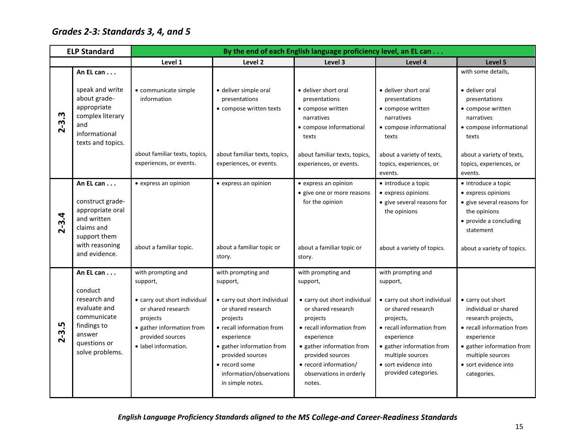# <span id="page-19-0"></span>*Grades 2-3: Standards 3, 4, and 5*

|                | <b>ELP Standard</b>                                                                                                             | By the end of each English language proficiency level, an EL can                                                                                                          |                                                                                                                                                                                                                                                               |                                                                                                                                                                                                                                                            |                                                                                                                                                                                                                                               |                                                                                                                                                                                                    |  |
|----------------|---------------------------------------------------------------------------------------------------------------------------------|---------------------------------------------------------------------------------------------------------------------------------------------------------------------------|---------------------------------------------------------------------------------------------------------------------------------------------------------------------------------------------------------------------------------------------------------------|------------------------------------------------------------------------------------------------------------------------------------------------------------------------------------------------------------------------------------------------------------|-----------------------------------------------------------------------------------------------------------------------------------------------------------------------------------------------------------------------------------------------|----------------------------------------------------------------------------------------------------------------------------------------------------------------------------------------------------|--|
|                |                                                                                                                                 | Level 1                                                                                                                                                                   | Level 2                                                                                                                                                                                                                                                       | Level 3                                                                                                                                                                                                                                                    | Level 4                                                                                                                                                                                                                                       | Level 5                                                                                                                                                                                            |  |
|                | An EL can                                                                                                                       |                                                                                                                                                                           |                                                                                                                                                                                                                                                               |                                                                                                                                                                                                                                                            |                                                                                                                                                                                                                                               | with some details,                                                                                                                                                                                 |  |
| $2 - 3.3$      | speak and write<br>about grade-<br>appropriate<br>complex literary<br>and<br>informational<br>texts and topics.                 | · communicate simple<br>information                                                                                                                                       | · deliver simple oral<br>presentations<br>• compose written texts                                                                                                                                                                                             | • deliver short oral<br>presentations<br>• compose written<br>narratives<br>• compose informational<br>texts                                                                                                                                               | · deliver short oral<br>presentations<br>• compose written<br>narratives<br>• compose informational<br>texts                                                                                                                                  | · deliver oral<br>presentations<br>• compose written<br>narratives<br>• compose informational<br>texts                                                                                             |  |
|                |                                                                                                                                 | about familiar texts, topics,<br>experiences, or events.                                                                                                                  | about familiar texts, topics,<br>experiences, or events.                                                                                                                                                                                                      | about familiar texts, topics,<br>experiences, or events.                                                                                                                                                                                                   | about a variety of texts,<br>topics, experiences, or<br>events.                                                                                                                                                                               | about a variety of texts,<br>topics, experiences, or<br>events.                                                                                                                                    |  |
| $2 - 3.4$      | An EL can<br>construct grade-<br>appropriate oral<br>and written<br>claims and<br>support them<br>with reasoning                | • express an opinion<br>about a familiar topic.                                                                                                                           | • express an opinion<br>about a familiar topic or                                                                                                                                                                                                             | • express an opinion<br>• give one or more reasons<br>for the opinion<br>about a familiar topic or                                                                                                                                                         | • introduce a topic<br>• express opinions<br>• give several reasons for<br>the opinions<br>about a variety of topics.                                                                                                                         | • introduce a topic<br>• express opinions<br>• give several reasons for<br>the opinions<br>• provide a concluding<br>statement<br>about a variety of topics.                                       |  |
|                | and evidence.                                                                                                                   |                                                                                                                                                                           | story.                                                                                                                                                                                                                                                        | story.                                                                                                                                                                                                                                                     |                                                                                                                                                                                                                                               |                                                                                                                                                                                                    |  |
| IJ<br>$2 - 3.$ | An EL can<br>conduct<br>research and<br>evaluate and<br>communicate<br>findings to<br>answer<br>questions or<br>solve problems. | with prompting and<br>support,<br>• carry out short individual<br>or shared research<br>projects<br>• gather information from<br>provided sources<br>· label information. | with prompting and<br>support,<br>• carry out short individual<br>or shared research<br>projects<br>• recall information from<br>experience<br>· gather information from<br>provided sources<br>• record some<br>information/observations<br>in simple notes. | with prompting and<br>support,<br>• carry out short individual<br>or shared research<br>projects<br>• recall information from<br>experience<br>• gather information from<br>provided sources<br>• record information/<br>observations in orderly<br>notes. | with prompting and<br>support,<br>• carry out short individual<br>or shared research<br>projects,<br>• recall information from<br>experience<br>• gather information from<br>multiple sources<br>· sort evidence into<br>provided categories. | • carry out short<br>individual or shared<br>research projects,<br>• recall information from<br>experience<br>• gather information from<br>multiple sources<br>• sort evidence into<br>categories. |  |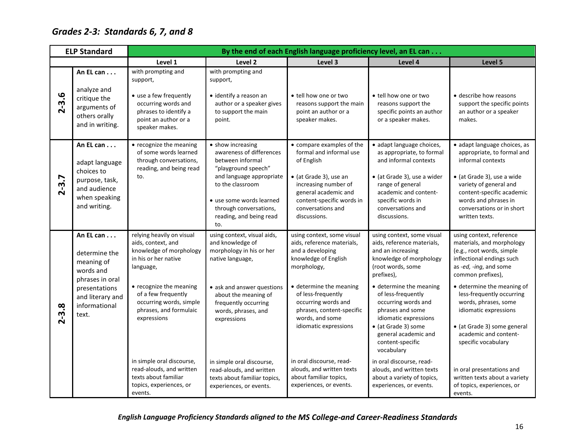# <span id="page-20-0"></span>*Grades 2-3: Standards 6, 7, and 8*

|           | <b>ELP Standard</b>                                                                                                                     | By the end of each English language proficiency level, an EL can                                                                                                                                                                                                                                                                                             |                                                                                                                                                                                                                                                                                                                                         |                                                                                                                                                                                                                                                                                                                                                                                    |                                                                                                                                                                                                                                                                                                                                                                                                                                                                     |                                                                                                                                                                                                                                                                                                                                                                                                                                                       |  |  |  |
|-----------|-----------------------------------------------------------------------------------------------------------------------------------------|--------------------------------------------------------------------------------------------------------------------------------------------------------------------------------------------------------------------------------------------------------------------------------------------------------------------------------------------------------------|-----------------------------------------------------------------------------------------------------------------------------------------------------------------------------------------------------------------------------------------------------------------------------------------------------------------------------------------|------------------------------------------------------------------------------------------------------------------------------------------------------------------------------------------------------------------------------------------------------------------------------------------------------------------------------------------------------------------------------------|---------------------------------------------------------------------------------------------------------------------------------------------------------------------------------------------------------------------------------------------------------------------------------------------------------------------------------------------------------------------------------------------------------------------------------------------------------------------|-------------------------------------------------------------------------------------------------------------------------------------------------------------------------------------------------------------------------------------------------------------------------------------------------------------------------------------------------------------------------------------------------------------------------------------------------------|--|--|--|
|           |                                                                                                                                         | Level 1                                                                                                                                                                                                                                                                                                                                                      | Level 2                                                                                                                                                                                                                                                                                                                                 | Level 3                                                                                                                                                                                                                                                                                                                                                                            | Level 4                                                                                                                                                                                                                                                                                                                                                                                                                                                             | Level 5                                                                                                                                                                                                                                                                                                                                                                                                                                               |  |  |  |
| $2 - 3.6$ | An EL can<br>analyze and<br>critique the<br>arguments of<br>others orally<br>and in writing.                                            | with prompting and<br>support,<br>• use a few frequently<br>occurring words and<br>phrases to identify a<br>point an author or a<br>speaker makes.                                                                                                                                                                                                           | with prompting and<br>support,<br>• identify a reason an<br>author or a speaker gives<br>to support the main<br>point.                                                                                                                                                                                                                  | • tell how one or two<br>reasons support the main<br>point an author or a<br>speaker makes.                                                                                                                                                                                                                                                                                        | • tell how one or two<br>reasons support the<br>specific points an author<br>or a speaker makes.                                                                                                                                                                                                                                                                                                                                                                    | • describe how reasons<br>support the specific points<br>an author or a speaker<br>makes.                                                                                                                                                                                                                                                                                                                                                             |  |  |  |
| $2 - 3.7$ | An EL can<br>adapt language<br>choices to<br>purpose, task,<br>and audience<br>when speaking<br>and writing.                            | • recognize the meaning<br>of some words learned<br>through conversations,<br>reading, and being read<br>to.                                                                                                                                                                                                                                                 | • show increasing<br>awareness of differences<br>between informal<br>"playground speech"<br>and language appropriate<br>to the classroom<br>• use some words learned<br>through conversations,<br>reading, and being read<br>to.                                                                                                        | • compare examples of the<br>formal and informal use<br>of English<br>• (at Grade 3), use an<br>increasing number of<br>general academic and<br>content-specific words in<br>conversations and<br>discussions.                                                                                                                                                                     | · adapt language choices,<br>as appropriate, to formal<br>and informal contexts<br>• (at Grade 3), use a wider<br>range of general<br>academic and content-<br>specific words in<br>conversations and<br>discussions.                                                                                                                                                                                                                                               | · adapt language choices, as<br>appropriate, to formal and<br>informal contexts<br>• (at Grade 3), use a wide<br>variety of general and<br>content-specific academic<br>words and phrases in<br>conversations or in short<br>written texts.                                                                                                                                                                                                           |  |  |  |
| $2 - 3.8$ | An EL can<br>determine the<br>meaning of<br>words and<br>phrases in oral<br>presentations<br>and literary and<br>informational<br>text. | relying heavily on visual<br>aids, context, and<br>knowledge of morphology<br>in his or her native<br>language,<br>• recognize the meaning<br>of a few frequently<br>occurring words, simple<br>phrases, and formulaic<br>expressions<br>in simple oral discourse,<br>read-alouds, and written<br>texts about familiar<br>topics, experiences, or<br>events. | using context, visual aids,<br>and knowledge of<br>morphology in his or her<br>native language,<br>• ask and answer questions<br>about the meaning of<br>frequently occurring<br>words, phrases, and<br>expressions<br>in simple oral discourse,<br>read-alouds, and written<br>texts about familiar topics,<br>experiences, or events. | using context, some visual<br>aids, reference materials,<br>and a developing<br>knowledge of English<br>morphology,<br>• determine the meaning<br>of less-frequently<br>occurring words and<br>phrases, content-specific<br>words, and some<br>idiomatic expressions<br>in oral discourse, read-<br>alouds, and written texts<br>about familiar topics,<br>experiences, or events. | using context, some visual<br>aids, reference materials,<br>and an increasing<br>knowledge of morphology<br>(root words, some<br>prefixes),<br>· determine the meaning<br>of less-frequently<br>occurring words and<br>phrases and some<br>idiomatic expressions<br>· (at Grade 3) some<br>general academic and<br>content-specific<br>vocabulary<br>in oral discourse, read-<br>alouds, and written texts<br>about a variety of topics,<br>experiences, or events. | using context, reference<br>materials, and morphology<br>(e.g., root words, simple<br>inflectional endings such<br>as -ed, -ing, and some<br>common prefixes),<br>· determine the meaning of<br>less-frequently occurring<br>words, phrases, some<br>idiomatic expressions<br>• (at Grade 3) some general<br>academic and content-<br>specific vocabulary<br>in oral presentations and<br>written texts about a variety<br>of topics, experiences, or |  |  |  |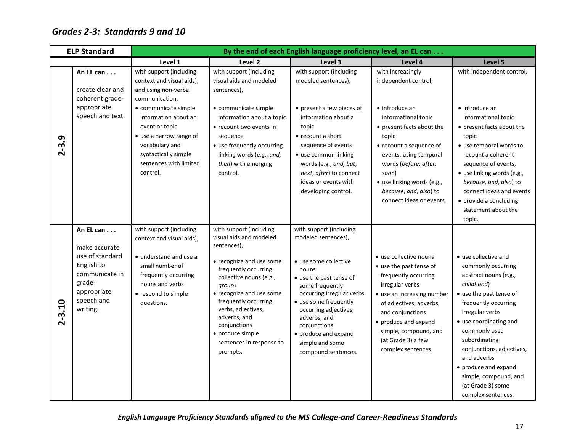## <span id="page-21-0"></span>*Grades 2-3: Standards 9 and 10*

|            | <b>ELP Standard</b>                                                                                                                       | By the end of each English language proficiency level, an EL can                                                                                                                  |                                                                                                                                                                                                                                                                                                                                  |                                                                                                                                                                                                                                                                                                                 |                                                                                                                                                                                                                                                                        |                                                                                                                                                                                                                                                                                                                                                             |  |  |
|------------|-------------------------------------------------------------------------------------------------------------------------------------------|-----------------------------------------------------------------------------------------------------------------------------------------------------------------------------------|----------------------------------------------------------------------------------------------------------------------------------------------------------------------------------------------------------------------------------------------------------------------------------------------------------------------------------|-----------------------------------------------------------------------------------------------------------------------------------------------------------------------------------------------------------------------------------------------------------------------------------------------------------------|------------------------------------------------------------------------------------------------------------------------------------------------------------------------------------------------------------------------------------------------------------------------|-------------------------------------------------------------------------------------------------------------------------------------------------------------------------------------------------------------------------------------------------------------------------------------------------------------------------------------------------------------|--|--|
|            |                                                                                                                                           | Level 1                                                                                                                                                                           | Level 2                                                                                                                                                                                                                                                                                                                          | Level 3                                                                                                                                                                                                                                                                                                         | Level 4                                                                                                                                                                                                                                                                | Level 5                                                                                                                                                                                                                                                                                                                                                     |  |  |
|            | An EL can<br>create clear and<br>coherent grade-                                                                                          | with support (including<br>context and visual aids),<br>and using non-verbal<br>communication,                                                                                    | with support (including<br>visual aids and modeled<br>sentences),                                                                                                                                                                                                                                                                | with support (including<br>modeled sentences),                                                                                                                                                                                                                                                                  | with increasingly<br>independent control,                                                                                                                                                                                                                              | with independent control,                                                                                                                                                                                                                                                                                                                                   |  |  |
| $2 - 3.9$  | appropriate<br>speech and text.                                                                                                           | • communicate simple<br>information about an<br>event or topic<br>• use a narrow range of<br>vocabulary and<br>syntactically simple<br>sentences with limited<br>control.         | • communicate simple<br>information about a topic<br>• recount two events in<br>sequence<br>• use frequently occurring<br>linking words (e.g., and,<br>then) with emerging<br>control.                                                                                                                                           | • present a few pieces of<br>information about a<br>topic<br>• recount a short<br>sequence of events<br>• use common linking<br>words (e.g., and, but,<br>next, after) to connect<br>ideas or events with<br>developing control.                                                                                | $\bullet$ introduce an<br>informational topic<br>• present facts about the<br>topic<br>• recount a sequence of<br>events, using temporal<br>words (before, after,<br>soon)<br>• use linking words (e.g.,<br>because, and, also) to<br>connect ideas or events.         | $\bullet$ introduce an<br>informational topic<br>• present facts about the<br>topic<br>• use temporal words to<br>recount a coherent<br>sequence of events,<br>• use linking words (e.g.,<br>because, and, also) to<br>connect ideas and events<br>• provide a concluding<br>statement about the<br>topic.                                                  |  |  |
| $2 - 3.10$ | An EL can $\ldots$<br>make accurate<br>use of standard<br>English to<br>communicate in<br>grade-<br>appropriate<br>speech and<br>writing. | with support (including<br>context and visual aids),<br>• understand and use a<br>small number of<br>frequently occurring<br>nouns and verbs<br>• respond to simple<br>questions. | with support (including<br>visual aids and modeled<br>sentences),<br>• recognize and use some<br>frequently occurring<br>collective nouns (e.g.,<br>group)<br>• recognize and use some<br>frequently occurring<br>verbs, adjectives,<br>adverbs, and<br>conjunctions<br>• produce simple<br>sentences in response to<br>prompts. | with support (including<br>modeled sentences),<br>• use some collective<br>nouns<br>• use the past tense of<br>some frequently<br>occurring irregular verbs<br>• use some frequently<br>occurring adjectives,<br>adverbs, and<br>conjunctions<br>• produce and expand<br>simple and some<br>compound sentences. | • use collective nouns<br>• use the past tense of<br>frequently occurring<br>irregular verbs<br>• use an increasing number<br>of adjectives, adverbs,<br>and conjunctions<br>• produce and expand<br>simple, compound, and<br>(at Grade 3) a few<br>complex sentences. | • use collective and<br>commonly occurring<br>abstract nouns (e.g.,<br>childhood)<br>• use the past tense of<br>frequently occurring<br>irregular verbs<br>• use coordinating and<br>commonly used<br>subordinating<br>conjunctions, adjectives,<br>and adverbs<br>• produce and expand<br>simple, compound, and<br>(at Grade 3) some<br>complex sentences. |  |  |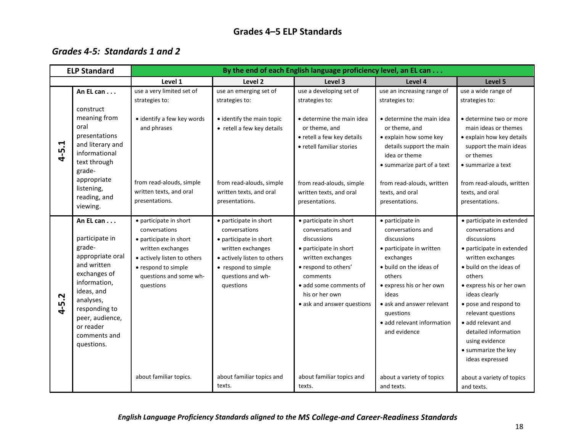## **Grades 4–5 ELP Standards**

## <span id="page-22-1"></span><span id="page-22-0"></span>*Grades 4-5: Standards 1 and 2*

| <b>ELP Standard</b>                                                                                                                                                                                                | By the end of each English language proficiency level, an EL can                                                                                                                                              |                                                                                                                                                                                                             |                                                                                                                                                                                                                                                      |                                                                                                                                                                                                                                                                                                     |                                                                                                                                                                                                                                                                                                                                                                                         |  |  |
|--------------------------------------------------------------------------------------------------------------------------------------------------------------------------------------------------------------------|---------------------------------------------------------------------------------------------------------------------------------------------------------------------------------------------------------------|-------------------------------------------------------------------------------------------------------------------------------------------------------------------------------------------------------------|------------------------------------------------------------------------------------------------------------------------------------------------------------------------------------------------------------------------------------------------------|-----------------------------------------------------------------------------------------------------------------------------------------------------------------------------------------------------------------------------------------------------------------------------------------------------|-----------------------------------------------------------------------------------------------------------------------------------------------------------------------------------------------------------------------------------------------------------------------------------------------------------------------------------------------------------------------------------------|--|--|
|                                                                                                                                                                                                                    | Level 1                                                                                                                                                                                                       | Level 2                                                                                                                                                                                                     | Level 3                                                                                                                                                                                                                                              | Level 4                                                                                                                                                                                                                                                                                             | Level 5                                                                                                                                                                                                                                                                                                                                                                                 |  |  |
| An EL can<br>construct                                                                                                                                                                                             | use a very limited set of<br>strategies to:                                                                                                                                                                   | use an emerging set of<br>strategies to:                                                                                                                                                                    | use a developing set of<br>strategies to:                                                                                                                                                                                                            | use an increasing range of<br>strategies to:                                                                                                                                                                                                                                                        | use a wide range of<br>strategies to:                                                                                                                                                                                                                                                                                                                                                   |  |  |
| meaning from<br>oral<br>presentations<br>and literary and<br>informational<br>text through<br>grade-<br>appropriate<br>listening,<br>reading, and<br>viewing.                                                      | • identify a few key words<br>and phrases<br>from read-alouds, simple<br>written texts, and oral<br>presentations.                                                                                            | • identify the main topic<br>• retell a few key details<br>from read-alouds, simple<br>written texts, and oral<br>presentations.                                                                            | • determine the main idea<br>or theme, and<br>• retell a few key details<br>• retell familiar stories<br>from read-alouds, simple<br>written texts, and oral<br>presentations.                                                                       | • determine the main idea<br>or theme, and<br>• explain how some key<br>details support the main<br>idea or theme<br>• summarize part of a text<br>from read-alouds, written<br>texts, and oral<br>presentations.                                                                                   | • determine two or more<br>main ideas or themes<br>· explain how key details<br>support the main ideas<br>or themes<br>• summarize a text<br>from read-alouds, written<br>texts, and oral<br>presentations.                                                                                                                                                                             |  |  |
| An EL can<br>participate in<br>grade-<br>appropriate oral<br>and written<br>exchanges of<br>information,<br>ideas, and<br>analyses,<br>responding to<br>peer, audience,<br>or reader<br>comments and<br>questions. | • participate in short<br>conversations<br>• participate in short<br>written exchanges<br>· actively listen to others<br>• respond to simple<br>questions and some wh-<br>questions<br>about familiar topics. | • participate in short<br>conversations<br>• participate in short<br>written exchanges<br>· actively listen to others<br>• respond to simple<br>questions and wh-<br>questions<br>about familiar topics and | • participate in short<br>conversations and<br>discussions<br>• participate in short<br>written exchanges<br>• respond to others'<br>comments<br>• add some comments of<br>his or her own<br>• ask and answer questions<br>about familiar topics and | · participate in<br>conversations and<br>discussions<br>• participate in written<br>exchanges<br>• build on the ideas of<br>others<br>• express his or her own<br>ideas<br>• ask and answer relevant<br><b>auestions</b><br>• add relevant information<br>and evidence<br>about a variety of topics | • participate in extended<br>conversations and<br>discussions<br>• participate in extended<br>written exchanges<br>• build on the ideas of<br>others<br>• express his or her own<br>ideas clearly<br>• pose and respond to<br>relevant questions<br>• add relevant and<br>detailed information<br>using evidence<br>• summarize the key<br>ideas expressed<br>about a variety of topics |  |  |
|                                                                                                                                                                                                                    |                                                                                                                                                                                                               |                                                                                                                                                                                                             | texts.                                                                                                                                                                                                                                               | texts.                                                                                                                                                                                                                                                                                              | and texts.                                                                                                                                                                                                                                                                                                                                                                              |  |  |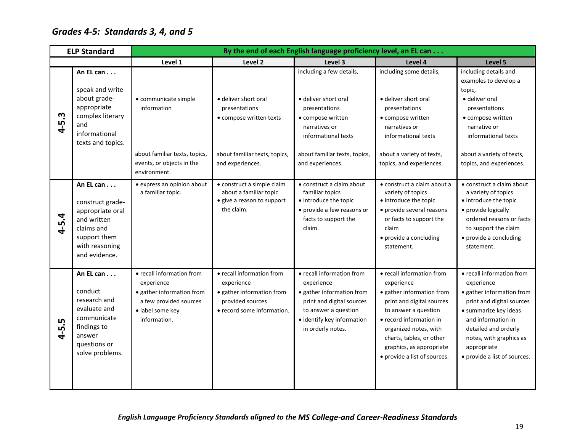# <span id="page-23-0"></span>*Grades 4-5: Standards 3, 4, and 5*

|            | <b>ELP Standard</b>                                                                                                               | By the end of each English language proficiency level, an EL can                                                                   |                                                                                                                        |                                                                                                                                                                              |                                                                                                                                                                                                                                                                       |                                                                                                                                                                                                                                                    |  |
|------------|-----------------------------------------------------------------------------------------------------------------------------------|------------------------------------------------------------------------------------------------------------------------------------|------------------------------------------------------------------------------------------------------------------------|------------------------------------------------------------------------------------------------------------------------------------------------------------------------------|-----------------------------------------------------------------------------------------------------------------------------------------------------------------------------------------------------------------------------------------------------------------------|----------------------------------------------------------------------------------------------------------------------------------------------------------------------------------------------------------------------------------------------------|--|
|            |                                                                                                                                   | Level 1                                                                                                                            | Level <sub>2</sub>                                                                                                     | Level 3                                                                                                                                                                      | Level 4                                                                                                                                                                                                                                                               | Level 5                                                                                                                                                                                                                                            |  |
| w<br>$4-5$ | An EL can<br>speak and write<br>about grade-<br>appropriate<br>complex literary<br>and<br>informational                           | • communicate simple<br>information                                                                                                | · deliver short oral<br>presentations<br>• compose written texts                                                       | including a few details,<br>• deliver short oral<br>presentations<br>• compose written<br>narratives or<br>informational texts                                               | including some details,<br>• deliver short oral<br>presentations<br>• compose written<br>narratives or<br>informational texts                                                                                                                                         | including details and<br>examples to develop a<br>topic,<br>• deliver oral<br>presentations<br>• compose written<br>narrative or<br>informational texts                                                                                            |  |
|            | texts and topics.                                                                                                                 | about familiar texts, topics,<br>events, or objects in the<br>environment.                                                         | about familiar texts, topics,<br>and experiences.                                                                      | about familiar texts, topics,<br>and experiences.                                                                                                                            | about a variety of texts,<br>topics, and experiences.                                                                                                                                                                                                                 | about a variety of texts,<br>topics, and experiences.                                                                                                                                                                                              |  |
| $4 - 5.4$  | An EL can<br>construct grade-<br>appropriate oral<br>and written<br>claims and<br>support them<br>with reasoning<br>and evidence. | • express an opinion about<br>a familiar topic.                                                                                    | • construct a simple claim<br>about a familiar topic<br>• give a reason to support<br>the claim.                       | • construct a claim about<br>familiar topics<br>• introduce the topic<br>• provide a few reasons or<br>facts to support the<br>claim.                                        | • construct a claim about a<br>variety of topics<br>• introduce the topic<br>• provide several reasons<br>or facts to support the<br>claim<br>• provide a concluding<br>statement.                                                                                    | • construct a claim about<br>a variety of topics<br>• introduce the topic<br>• provide logically<br>ordered reasons or facts<br>to support the claim<br>• provide a concluding<br>statement.                                                       |  |
| $4 - 5.5$  | An EL can<br>conduct<br>research and<br>evaluate and<br>communicate<br>findings to<br>answer<br>questions or<br>solve problems.   | • recall information from<br>experience<br>· gather information from<br>a few provided sources<br>· label some key<br>information. | • recall information from<br>experience<br>· gather information from<br>provided sources<br>• record some information. | • recall information from<br>experience<br>· gather information from<br>print and digital sources<br>to answer a question<br>· identify key information<br>in orderly notes. | • recall information from<br>experience<br>· gather information from<br>print and digital sources<br>to answer a question<br>• record information in<br>organized notes, with<br>charts, tables, or other<br>graphics, as appropriate<br>• provide a list of sources. | • recall information from<br>experience<br>• gather information from<br>print and digital sources<br>• summarize key ideas<br>and information in<br>detailed and orderly<br>notes, with graphics as<br>appropriate<br>• provide a list of sources. |  |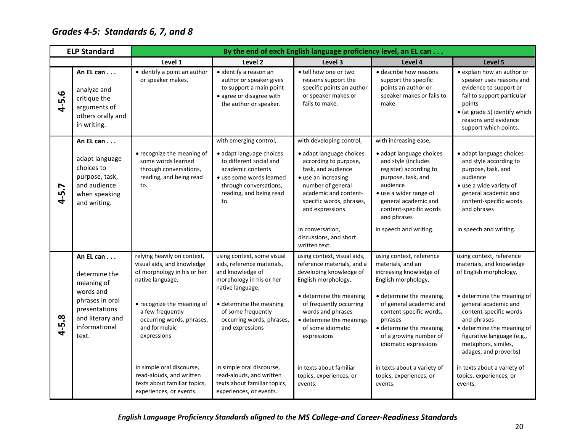# <span id="page-24-0"></span>*Grades 4-5: Standards 6, 7, and 8*

|                     | <b>ELP Standard</b>                                                                             | By the end of each English language proficiency level, an EL can                                                 |                                                                                                                                                                  |                                                                                                                                                                                             |                                                                                                                                                                                                        |                                                                                                                                                                                                            |  |  |
|---------------------|-------------------------------------------------------------------------------------------------|------------------------------------------------------------------------------------------------------------------|------------------------------------------------------------------------------------------------------------------------------------------------------------------|---------------------------------------------------------------------------------------------------------------------------------------------------------------------------------------------|--------------------------------------------------------------------------------------------------------------------------------------------------------------------------------------------------------|------------------------------------------------------------------------------------------------------------------------------------------------------------------------------------------------------------|--|--|
|                     |                                                                                                 | Level 1                                                                                                          | Level 2                                                                                                                                                          | Level 3                                                                                                                                                                                     | Level 4                                                                                                                                                                                                | Level 5                                                                                                                                                                                                    |  |  |
| 4-5.6               | An EL can<br>analyze and<br>critique the<br>arguments of<br>others orally and<br>in writing.    | • identify a point an author<br>or speaker makes.                                                                | · identify a reason an<br>author or speaker gives<br>to support a main point<br>• agree or disagree with<br>the author or speaker.                               | • tell how one or two<br>reasons support the<br>specific points an author<br>or speaker makes or<br>fails to make.                                                                          | • describe how reasons<br>support the specific<br>points an author or<br>speaker makes or fails to<br>make.                                                                                            | • explain how an author or<br>speaker uses reasons and<br>evidence to support or<br>fail to support particular<br>points<br>• (at grade 5) identify which<br>reasons and evidence<br>support which points. |  |  |
|                     | An EL can                                                                                       |                                                                                                                  | with emerging control,                                                                                                                                           | with developing control,                                                                                                                                                                    | with increasing ease,                                                                                                                                                                                  |                                                                                                                                                                                                            |  |  |
| 5.7<br>$\mathbf{r}$ | adapt language<br>choices to<br>purpose, task,<br>and audience<br>when speaking<br>and writing. | • recognize the meaning of<br>some words learned<br>through conversations,<br>reading, and being read<br>to.     | · adapt language choices<br>to different social and<br>academic contents<br>• use some words learned<br>through conversations,<br>reading, and being read<br>to. | · adapt language choices<br>according to purpose,<br>task, and audience<br>• use an increasing<br>number of general<br>academic and content-<br>specific words, phrases,<br>and expressions | • adapt language choices<br>and style (includes<br>register) according to<br>purpose, task, and<br>audience<br>• use a wider range of<br>general academic and<br>content-specific words<br>and phrases | · adapt language choices<br>and style according to<br>purpose, task, and<br>audience<br>· use a wide variety of<br>general academic and<br>content-specific words<br>and phrases                           |  |  |
|                     |                                                                                                 |                                                                                                                  |                                                                                                                                                                  | in conversation,<br>discussions, and short<br>written text.                                                                                                                                 | in speech and writing.                                                                                                                                                                                 | in speech and writing.                                                                                                                                                                                     |  |  |
|                     | An EL can<br>determine the<br>meaning of                                                        | relying heavily on context,<br>visual aids, and knowledge<br>of morphology in his or her<br>native language,     | using context, some visual<br>aids, reference materials,<br>and knowledge of<br>morphology in his or her<br>native language,                                     | using context, visual aids,<br>reference materials, and a<br>developing knowledge of<br>English morphology,                                                                                 | using context, reference<br>materials, and an<br>increasing knowledge of<br>English morphology,                                                                                                        | using context, reference<br>materials, and knowledge<br>of English morphology,                                                                                                                             |  |  |
| $4 - 5.8$           | words and<br>phrases in oral<br>presentations<br>and literary and<br>informational<br>text.     | • recognize the meaning of<br>a few frequently<br>occurring words, phrases,<br>and formulaic<br>expressions      | • determine the meaning<br>of some frequently<br>occurring words, phrases,<br>and expressions                                                                    | • determine the meaning<br>of frequently occurring<br>words and phrases<br>· determine the meanings<br>of some idiomatic<br>expressions                                                     | • determine the meaning<br>of general academic and<br>content-specific words,<br>phrases<br>• determine the meaning<br>of a growing number of<br>idiomatic expressions                                 | · determine the meaning of<br>general academic and<br>content-specific words<br>and phrases<br>· determine the meaning of<br>figurative language (e.g.,<br>metaphors, similes,<br>adages, and proverbs)    |  |  |
|                     |                                                                                                 | in simple oral discourse,<br>read-alouds, and written<br>texts about familiar topics,<br>experiences, or events. | in simple oral discourse,<br>read-alouds, and written<br>texts about familiar topics,<br>experiences, or events.                                                 | in texts about familiar<br>topics, experiences, or<br>events.                                                                                                                               | in texts about a variety of<br>topics, experiences, or<br>events.                                                                                                                                      | in texts about a variety of<br>topics, experiences, or<br>events.                                                                                                                                          |  |  |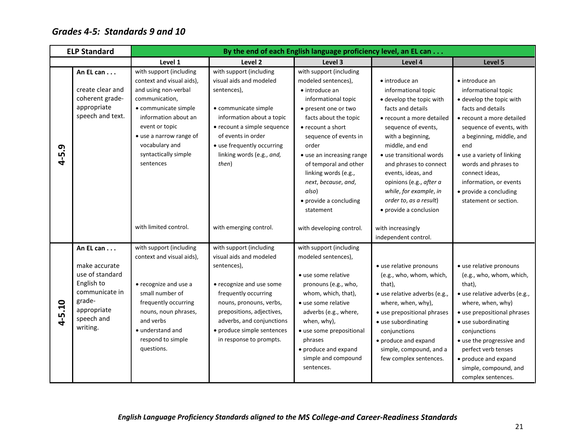## <span id="page-25-0"></span>*Grades 4-5: Standards 9 and 10*

|                  | <b>ELP Standard</b>                                                                                                              |                                                                                                                                                                                                                                                    | By the end of each English language proficiency level, an EL can                                                                                                                                                                                                    |                                                                                                                                                                                                                                                                                                                                                      |                                                                                                                                                                                                                                                                                                                                                                         |                                                                                                                                                                                                                                                                                                                                         |  |  |  |
|------------------|----------------------------------------------------------------------------------------------------------------------------------|----------------------------------------------------------------------------------------------------------------------------------------------------------------------------------------------------------------------------------------------------|---------------------------------------------------------------------------------------------------------------------------------------------------------------------------------------------------------------------------------------------------------------------|------------------------------------------------------------------------------------------------------------------------------------------------------------------------------------------------------------------------------------------------------------------------------------------------------------------------------------------------------|-------------------------------------------------------------------------------------------------------------------------------------------------------------------------------------------------------------------------------------------------------------------------------------------------------------------------------------------------------------------------|-----------------------------------------------------------------------------------------------------------------------------------------------------------------------------------------------------------------------------------------------------------------------------------------------------------------------------------------|--|--|--|
|                  |                                                                                                                                  | Level 1                                                                                                                                                                                                                                            | Level <sub>2</sub>                                                                                                                                                                                                                                                  | Level 3                                                                                                                                                                                                                                                                                                                                              | Level 4                                                                                                                                                                                                                                                                                                                                                                 | Level 5                                                                                                                                                                                                                                                                                                                                 |  |  |  |
| 5.9<br>$\vec{r}$ | An EL can $\ldots$<br>create clear and<br>coherent grade-<br>appropriate<br>speech and text.                                     | with support (including<br>context and visual aids),<br>and using non-verbal<br>communication,<br>• communicate simple<br>information about an<br>event or topic<br>• use a narrow range of<br>vocabulary and<br>syntactically simple<br>sentences | with support (including<br>visual aids and modeled<br>sentences),<br>• communicate simple<br>information about a topic<br>• recount a simple sequence<br>of events in order<br>• use frequently occurring<br>linking words (e.g., and,<br>then)                     | with support (including<br>modeled sentences),<br>• introduce an<br>informational topic<br>• present one or two<br>facts about the topic<br>• recount a short<br>sequence of events in<br>order<br>• use an increasing range<br>of temporal and other<br>linking words (e.g.,<br>next, because, and,<br>also)<br>• provide a concluding<br>statement | • introduce an<br>informational topic<br>• develop the topic with<br>facts and details<br>• recount a more detailed<br>sequence of events,<br>with a beginning,<br>middle, and end<br>• use transitional words<br>and phrases to connect<br>events, ideas, and<br>opinions (e.g., after a<br>while, for example, in<br>order to, as a result)<br>• provide a conclusion | • introduce an<br>informational topic<br>· develop the topic with<br>facts and details<br>• recount a more detailed<br>sequence of events, with<br>a beginning, middle, and<br>end<br>• use a variety of linking<br>words and phrases to<br>connect ideas,<br>information, or events<br>• provide a concluding<br>statement or section. |  |  |  |
|                  |                                                                                                                                  | with limited control.                                                                                                                                                                                                                              | with emerging control.                                                                                                                                                                                                                                              | with developing control.                                                                                                                                                                                                                                                                                                                             | with increasingly<br>independent control.                                                                                                                                                                                                                                                                                                                               |                                                                                                                                                                                                                                                                                                                                         |  |  |  |
| $4 - 5.10$       | An EL can<br>make accurate<br>use of standard<br>English to<br>communicate in<br>grade-<br>appropriate<br>speech and<br>writing. | with support (including<br>context and visual aids),<br>• recognize and use a<br>small number of<br>frequently occurring<br>nouns, noun phrases,<br>and verbs<br>• understand and<br>respond to simple<br>questions.                               | with support (including<br>visual aids and modeled<br>sentences),<br>• recognize and use some<br>frequently occurring<br>nouns, pronouns, verbs,<br>prepositions, adjectives,<br>adverbs, and conjunctions<br>• produce simple sentences<br>in response to prompts. | with support (including<br>modeled sentences),<br>• use some relative<br>pronouns (e.g., who,<br>whom, which, that),<br>· use some relative<br>adverbs (e.g., where,<br>when, why),<br>• use some prepositional<br>phrases<br>• produce and expand<br>simple and compound<br>sentences.                                                              | • use relative pronouns<br>(e.g., who, whom, which,<br>that),<br>• use relative adverbs (e.g.,<br>where, when, why),<br>• use prepositional phrases<br>• use subordinating<br>conjunctions<br>• produce and expand<br>simple, compound, and a<br>few complex sentences.                                                                                                 | • use relative pronouns<br>(e.g., who, whom, which,<br>that),<br>• use relative adverbs (e.g.,<br>where, when, why)<br>• use prepositional phrases<br>• use subordinating<br>conjunctions<br>• use the progressive and<br>perfect verb tenses<br>• produce and expand<br>simple, compound, and<br>complex sentences.                    |  |  |  |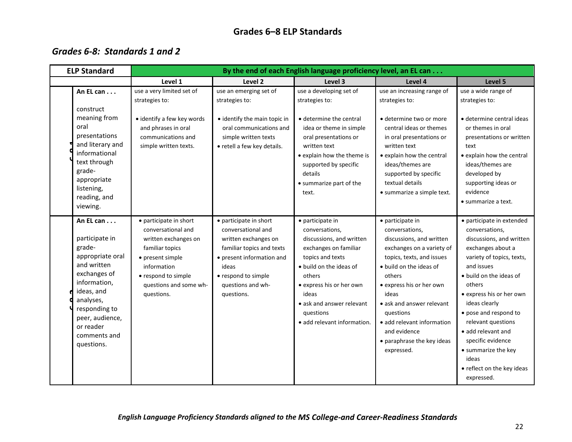## **Grades 6–8 ELP Standards**

## <span id="page-26-1"></span><span id="page-26-0"></span>*Grades 6-8: Standards 1 and 2*

| <b>ELP Standard</b>                                                                                                                                                                                                | By the end of each English language proficiency level, an EL can                                                                                                                          |                                                                                                                                                                                                   |                                                                                                                                                                                                                                                                |                                                                                                                                                                                                                                                                                                                                        |                                                                                                                                                                                                                                                                                                                                                                                                 |  |
|--------------------------------------------------------------------------------------------------------------------------------------------------------------------------------------------------------------------|-------------------------------------------------------------------------------------------------------------------------------------------------------------------------------------------|---------------------------------------------------------------------------------------------------------------------------------------------------------------------------------------------------|----------------------------------------------------------------------------------------------------------------------------------------------------------------------------------------------------------------------------------------------------------------|----------------------------------------------------------------------------------------------------------------------------------------------------------------------------------------------------------------------------------------------------------------------------------------------------------------------------------------|-------------------------------------------------------------------------------------------------------------------------------------------------------------------------------------------------------------------------------------------------------------------------------------------------------------------------------------------------------------------------------------------------|--|
|                                                                                                                                                                                                                    | Level 1                                                                                                                                                                                   | Level 2                                                                                                                                                                                           | Level 3                                                                                                                                                                                                                                                        | Level 4                                                                                                                                                                                                                                                                                                                                | Level 5                                                                                                                                                                                                                                                                                                                                                                                         |  |
| An EL can<br>construct<br>meaning from<br>oral<br>presentations<br>and literary and<br>informational<br>text through<br>grade-<br>appropriate<br>listening,<br>reading, and<br>viewing.                            | use a very limited set of<br>strategies to:<br>• identify a few key words<br>and phrases in oral<br>communications and<br>simple written texts.                                           | use an emerging set of<br>strategies to:<br>• identify the main topic in<br>oral communications and<br>simple written texts<br>• retell a few key details.                                        | use a developing set of<br>strategies to:<br>• determine the central<br>idea or theme in simple<br>oral presentations or<br>written text<br>• explain how the theme is<br>supported by specific<br>details<br>• summarize part of the<br>text.                 | use an increasing range of<br>strategies to:<br>· determine two or more<br>central ideas or themes<br>in oral presentations or<br>written text<br>• explain how the central<br>ideas/themes are<br>supported by specific<br>textual details<br>• summarize a simple text.                                                              | use a wide range of<br>strategies to:<br>· determine central ideas<br>or themes in oral<br>presentations or written<br>text<br>• explain how the central<br>ideas/themes are<br>developed by<br>supporting ideas or<br>evidence<br>• summarize a text.                                                                                                                                          |  |
| An EL can<br>participate in<br>grade-<br>appropriate oral<br>and written<br>exchanges of<br>information,<br>ideas, and<br>analyses,<br>responding to<br>peer, audience,<br>or reader<br>comments and<br>questions. | • participate in short<br>conversational and<br>written exchanges on<br>familiar topics<br>• present simple<br>information<br>• respond to simple<br>questions and some wh-<br>questions. | • participate in short<br>conversational and<br>written exchanges on<br>familiar topics and texts<br>• present information and<br>ideas<br>• respond to simple<br>questions and wh-<br>questions. | • participate in<br>conversations,<br>discussions, and written<br>exchanges on familiar<br>topics and texts<br>· build on the ideas of<br>others<br>• express his or her own<br>ideas<br>• ask and answer relevant<br>questions<br>· add relevant information. | • participate in<br>conversations,<br>discussions, and written<br>exchanges on a variety of<br>topics, texts, and issues<br>• build on the ideas of<br>others<br>• express his or her own<br>ideas<br>• ask and answer relevant<br>questions<br>· add relevant information<br>and evidence<br>• paraphrase the key ideas<br>expressed. | · participate in extended<br>conversations,<br>discussions, and written<br>exchanges about a<br>variety of topics, texts,<br>and issues<br>• build on the ideas of<br>others<br>• express his or her own<br>ideas clearly<br>• pose and respond to<br>relevant questions<br>• add relevant and<br>specific evidence<br>• summarize the key<br>ideas<br>• reflect on the key ideas<br>expressed. |  |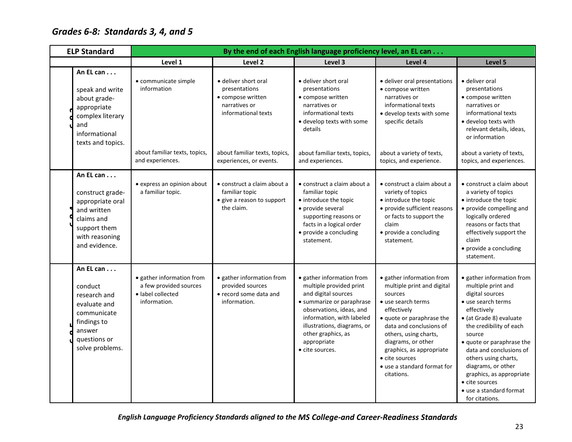# <span id="page-27-0"></span>*Grades 6-8: Standards 3, 4, and 5*

| <b>ELP Standard</b><br>By the end of each English language proficiency level, an EL can |                                                                                                                                   |                                                                                          |                                                                                                                                     |                                                                                                                                                                                                                                                          |                                                                                                                                                                                                                                                                                                           |                                                                                                                                                                                                                                                                                                                                                                          |
|-----------------------------------------------------------------------------------------|-----------------------------------------------------------------------------------------------------------------------------------|------------------------------------------------------------------------------------------|-------------------------------------------------------------------------------------------------------------------------------------|----------------------------------------------------------------------------------------------------------------------------------------------------------------------------------------------------------------------------------------------------------|-----------------------------------------------------------------------------------------------------------------------------------------------------------------------------------------------------------------------------------------------------------------------------------------------------------|--------------------------------------------------------------------------------------------------------------------------------------------------------------------------------------------------------------------------------------------------------------------------------------------------------------------------------------------------------------------------|
|                                                                                         |                                                                                                                                   | Level 1                                                                                  | Level <sub>2</sub>                                                                                                                  | Level 3                                                                                                                                                                                                                                                  | Level 4                                                                                                                                                                                                                                                                                                   | Level 5                                                                                                                                                                                                                                                                                                                                                                  |
|                                                                                         | An EL can<br>speak and write<br>about grade-<br>appropriate<br>complex literary<br>and<br>informational<br>texts and topics.      | · communicate simple<br>information<br>about familiar texts, topics,                     | • deliver short oral<br>presentations<br>• compose written<br>narratives or<br>informational texts<br>about familiar texts, topics, | • deliver short oral<br>presentations<br>• compose written<br>narratives or<br>informational texts<br>· develop texts with some<br>details<br>about familiar texts, topics,                                                                              | • deliver oral presentations<br>• compose written<br>narratives or<br>informational texts<br>· develop texts with some<br>specific details<br>about a variety of texts,                                                                                                                                   | • deliver oral<br>presentations<br>• compose written<br>narratives or<br>informational texts<br>• develop texts with<br>relevant details, ideas,<br>or information<br>about a variety of texts,                                                                                                                                                                          |
|                                                                                         |                                                                                                                                   | and experiences.                                                                         | experiences, or events.                                                                                                             | and experiences.                                                                                                                                                                                                                                         | topics, and experience.                                                                                                                                                                                                                                                                                   | topics, and experiences.                                                                                                                                                                                                                                                                                                                                                 |
|                                                                                         | An EL can<br>construct grade-<br>appropriate oral<br>and written<br>claims and<br>support them<br>with reasoning<br>and evidence. | • express an opinion about<br>a familiar topic.                                          | • construct a claim about a<br>familiar topic<br>• give a reason to support<br>the claim.                                           | • construct a claim about a<br>familiar topic<br>• introduce the topic<br>• provide several<br>supporting reasons or<br>facts in a logical order<br>• provide a concluding<br>statement.                                                                 | • construct a claim about a<br>variety of topics<br>• introduce the topic<br>• provide sufficient reasons<br>or facts to support the<br>claim<br>• provide a concluding<br>statement.                                                                                                                     | • construct a claim about<br>a variety of topics<br>• introduce the topic<br>• provide compelling and<br>logically ordered<br>reasons or facts that<br>effectively support the<br>claim<br>• provide a concluding<br>statement.                                                                                                                                          |
|                                                                                         | An EL can<br>conduct<br>research and<br>evaluate and<br>communicate<br>findings to<br>answer<br>questions or<br>solve problems.   | · gather information from<br>a few provided sources<br>· label collected<br>information. | • gather information from<br>provided sources<br>• record some data and<br>information.                                             | · gather information from<br>multiple provided print<br>and digital sources<br>• summarize or paraphrase<br>observations, ideas, and<br>information, with labeled<br>illustrations, diagrams, or<br>other graphics, as<br>appropriate<br>• cite sources. | · gather information from<br>multiple print and digital<br>sources<br>• use search terms<br>effectively<br>· quote or paraphrase the<br>data and conclusions of<br>others, using charts,<br>diagrams, or other<br>graphics, as appropriate<br>• cite sources<br>• use a standard format for<br>citations. | • gather information from<br>multiple print and<br>digital sources<br>· use search terms<br>effectively<br>· (at Grade 8) evaluate<br>the credibility of each<br>source<br>• quote or paraphrase the<br>data and conclusions of<br>others using charts,<br>diagrams, or other<br>graphics, as appropriate<br>• cite sources<br>• use a standard format<br>for citations. |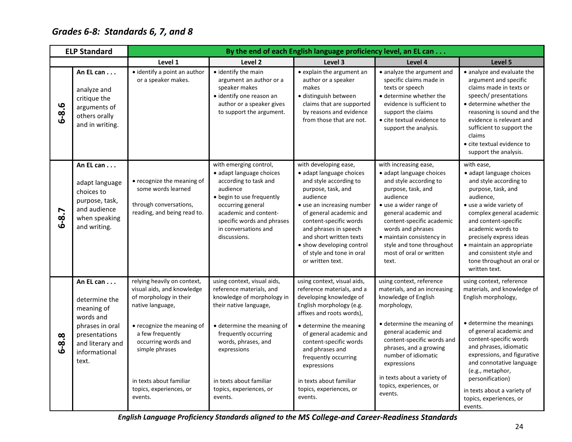# <span id="page-28-0"></span>*Grades 6-8: Standards 6, 7, and 8*

| <b>ELP Standard</b> |                                                                                                                                         | By the end of each English language proficiency level, an EL can                                                                                                                                                                                                    |                                                                                                                                                                                                                                                                              |                                                                                                                                                                                                                                                                                                                                                          |                                                                                                                                                                                                                                                                                                                          |                                                                                                                                                                                                                                                                                                                                                                   |  |  |  |
|---------------------|-----------------------------------------------------------------------------------------------------------------------------------------|---------------------------------------------------------------------------------------------------------------------------------------------------------------------------------------------------------------------------------------------------------------------|------------------------------------------------------------------------------------------------------------------------------------------------------------------------------------------------------------------------------------------------------------------------------|----------------------------------------------------------------------------------------------------------------------------------------------------------------------------------------------------------------------------------------------------------------------------------------------------------------------------------------------------------|--------------------------------------------------------------------------------------------------------------------------------------------------------------------------------------------------------------------------------------------------------------------------------------------------------------------------|-------------------------------------------------------------------------------------------------------------------------------------------------------------------------------------------------------------------------------------------------------------------------------------------------------------------------------------------------------------------|--|--|--|
|                     |                                                                                                                                         | Level 1                                                                                                                                                                                                                                                             | Level <sub>2</sub>                                                                                                                                                                                                                                                           | Level 3                                                                                                                                                                                                                                                                                                                                                  | Level 4                                                                                                                                                                                                                                                                                                                  | Level 5                                                                                                                                                                                                                                                                                                                                                           |  |  |  |
| $6 - 8.6$           | An EL can<br>analyze and<br>critique the<br>arguments of<br>others orally<br>and in writing.                                            | · identify a point an author<br>or a speaker makes.                                                                                                                                                                                                                 | · identify the main<br>argument an author or a<br>speaker makes<br>• identify one reason an<br>author or a speaker gives<br>to support the argument.                                                                                                                         | • explain the argument an<br>author or a speaker<br>makes<br>· distinguish between<br>claims that are supported<br>by reasons and evidence<br>from those that are not.                                                                                                                                                                                   | • analyze the argument and<br>specific claims made in<br>texts or speech<br>• determine whether the<br>evidence is sufficient to<br>support the claims<br>• cite textual evidence to<br>support the analysis.                                                                                                            | · analyze and evaluate the<br>argument and specific<br>claims made in texts or<br>speech/presentations<br>• determine whether the<br>reasoning is sound and the<br>evidence is relevant and<br>sufficient to support the<br>claims<br>• cite textual evidence to<br>support the analysis.                                                                         |  |  |  |
| $6 - 8.7$           | An EL can<br>adapt language<br>choices to<br>purpose, task,<br>and audience<br>when speaking<br>and writing.                            | • recognize the meaning of<br>some words learned<br>through conversations,<br>reading, and being read to.                                                                                                                                                           | with emerging control,<br>• adapt language choices<br>according to task and<br>audience<br>· begin to use frequently<br>occurring general<br>academic and content-<br>specific words and phrases<br>in conversations and<br>discussions.                                     | with developing ease,<br>• adapt language choices<br>and style according to<br>purpose, task, and<br>audience<br>• use an increasing number<br>of general academic and<br>content-specific words<br>and phrases in speech<br>and short written texts<br>• show developing control<br>of style and tone in oral<br>or written text.                       | with increasing ease,<br>• adapt language choices<br>and style according to<br>purpose, task, and<br>audience<br>• use a wider range of<br>general academic and<br>content-specific academic<br>words and phrases<br>• maintain consistency in<br>style and tone throughout<br>most of oral or written<br>text.          | with ease,<br>· adapt language choices<br>and style according to<br>purpose, task, and<br>audience,<br>• use a wide variety of<br>complex general academic<br>and content-specific<br>academic words to<br>precisely express ideas<br>· maintain an appropriate<br>and consistent style and<br>tone throughout an oral or<br>written text.                        |  |  |  |
| $6 - 8.8$           | An EL can<br>determine the<br>meaning of<br>words and<br>phrases in oral<br>presentations<br>and literary and<br>informational<br>text. | relying heavily on context,<br>visual aids, and knowledge<br>of morphology in their<br>native language,<br>• recognize the meaning of<br>a few frequently<br>occurring words and<br>simple phrases<br>in texts about familiar<br>topics, experiences, or<br>events. | using context, visual aids,<br>reference materials, and<br>knowledge of morphology in<br>their native language,<br>• determine the meaning of<br>frequently occurring<br>words, phrases, and<br>expressions<br>in texts about familiar<br>topics, experiences, or<br>events. | using context, visual aids,<br>reference materials, and a<br>developing knowledge of<br>English morphology (e.g.<br>affixes and roots words),<br>• determine the meaning<br>of general academic and<br>content-specific words<br>and phrases and<br>frequently occurring<br>expressions<br>in texts about familiar<br>topics, experiences, or<br>events. | using context, reference<br>materials, and an increasing<br>knowledge of English<br>morphology,<br>• determine the meaning of<br>general academic and<br>content-specific words and<br>phrases, and a growing<br>number of idiomatic<br>expressions<br>in texts about a variety of<br>topics, experiences, or<br>events. | using context, reference<br>materials, and knowledge of<br>English morphology,<br>• determine the meanings<br>of general academic and<br>content-specific words<br>and phrases, idiomatic<br>expressions, and figurative<br>and connotative language<br>(e.g., metaphor,<br>personification)<br>in texts about a variety of<br>topics, experiences, or<br>events. |  |  |  |

*English Language Proficiency Standards aligned to the MS College-and Career-Readiness Standards*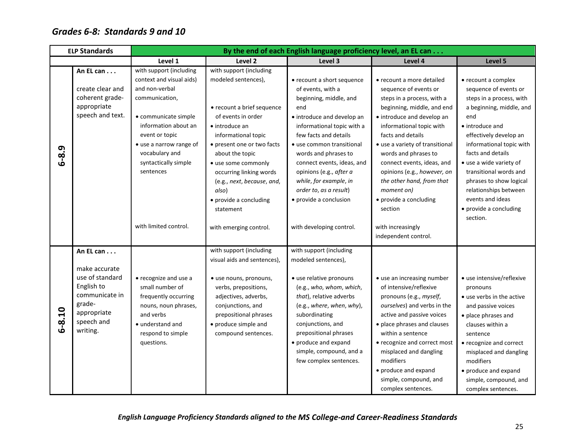## <span id="page-29-0"></span>*Grades 6-8: Standards 9 and 10*

| <b>ELP Standards</b> |                                                                                                                                  | By the end of each English language proficiency level, an EL can                                                                                                                                                                            |                                                                                                                                                                                                                                                                                                                                      |                                                                                                                                                                                                                                                                                                                                                                   |                                                                                                                                                                                                                                                                                                                                                                                                       |                                                                                                                                                                                                                                                                                                                                                                              |  |
|----------------------|----------------------------------------------------------------------------------------------------------------------------------|---------------------------------------------------------------------------------------------------------------------------------------------------------------------------------------------------------------------------------------------|--------------------------------------------------------------------------------------------------------------------------------------------------------------------------------------------------------------------------------------------------------------------------------------------------------------------------------------|-------------------------------------------------------------------------------------------------------------------------------------------------------------------------------------------------------------------------------------------------------------------------------------------------------------------------------------------------------------------|-------------------------------------------------------------------------------------------------------------------------------------------------------------------------------------------------------------------------------------------------------------------------------------------------------------------------------------------------------------------------------------------------------|------------------------------------------------------------------------------------------------------------------------------------------------------------------------------------------------------------------------------------------------------------------------------------------------------------------------------------------------------------------------------|--|
|                      |                                                                                                                                  | Level 1                                                                                                                                                                                                                                     | Level 2                                                                                                                                                                                                                                                                                                                              | Level 3                                                                                                                                                                                                                                                                                                                                                           | Level 4                                                                                                                                                                                                                                                                                                                                                                                               | Level 5                                                                                                                                                                                                                                                                                                                                                                      |  |
| 6-8.9                | An EL can<br>create clear and<br>coherent grade-<br>appropriate<br>speech and text.                                              | with support (including<br>context and visual aids)<br>and non-verbal<br>communication,<br>• communicate simple<br>information about an<br>event or topic<br>• use a narrow range of<br>vocabulary and<br>syntactically simple<br>sentences | with support (including<br>modeled sentences),<br>• recount a brief sequence<br>of events in order<br>$\bullet$ introduce an<br>informational topic<br>• present one or two facts<br>about the topic<br>· use some commonly<br>occurring linking words<br>(e.g., next, because, and,<br>also)<br>• provide a concluding<br>statement | • recount a short sequence<br>of events, with a<br>beginning, middle, and<br>end<br>• introduce and develop an<br>informational topic with a<br>few facts and details<br>• use common transitional<br>words and phrases to<br>connect events, ideas, and<br>opinions (e.g., after a<br>while, for example, in<br>order to, as a result)<br>• provide a conclusion | • recount a more detailed<br>sequence of events or<br>steps in a process, with a<br>beginning, middle, and end<br>• introduce and develop an<br>informational topic with<br>facts and details<br>• use a variety of transitional<br>words and phrases to<br>connect events, ideas, and<br>opinions (e.g., however, on<br>the other hand, from that<br>moment on)<br>• provide a concluding<br>section | • recount a complex<br>sequence of events or<br>steps in a process, with<br>a beginning, middle, and<br>end<br>• introduce and<br>effectively develop an<br>informational topic with<br>facts and details<br>• use a wide variety of<br>transitional words and<br>phrases to show logical<br>relationships between<br>events and ideas<br>• provide a concluding<br>section. |  |
|                      |                                                                                                                                  | with limited control.                                                                                                                                                                                                                       | with emerging control.                                                                                                                                                                                                                                                                                                               | with developing control.                                                                                                                                                                                                                                                                                                                                          | with increasingly<br>independent control.                                                                                                                                                                                                                                                                                                                                                             |                                                                                                                                                                                                                                                                                                                                                                              |  |
| $6 - 8.10$           | An EL can<br>make accurate<br>use of standard<br>English to<br>communicate in<br>grade-<br>appropriate<br>speech and<br>writing. | • recognize and use a<br>small number of<br>frequently occurring<br>nouns, noun phrases,<br>and verbs<br>• understand and<br>respond to simple<br>questions.                                                                                | with support (including<br>visual aids and sentences),<br>· use nouns, pronouns,<br>verbs, prepositions,<br>adjectives, adverbs,<br>conjunctions, and<br>prepositional phrases<br>• produce simple and<br>compound sentences.                                                                                                        | with support (including<br>modeled sentences),<br>• use relative pronouns<br>(e.g., who, whom, which,<br>that), relative adverbs<br>(e.g., where, when, why),<br>subordinating<br>conjunctions, and<br>prepositional phrases<br>• produce and expand<br>simple, compound, and a<br>few complex sentences.                                                         | • use an increasing number<br>of intensive/reflexive<br>pronouns (e.g., myself,<br>ourselves) and verbs in the<br>active and passive voices<br>· place phrases and clauses<br>within a sentence<br>• recognize and correct most<br>misplaced and dangling<br>modifiers<br>• produce and expand<br>simple, compound, and<br>complex sentences.                                                         | • use intensive/reflexive<br>pronouns<br>• use verbs in the active<br>and passive voices<br>· place phrases and<br>clauses within a<br>sentence<br>• recognize and correct<br>misplaced and dangling<br>modifiers<br>• produce and expand<br>simple, compound, and<br>complex sentences.                                                                                     |  |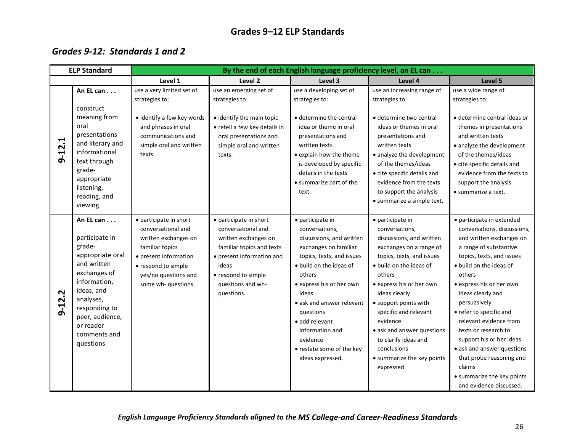## **Grades 9–12 ELP Standards**

### <span id="page-30-1"></span><span id="page-30-0"></span>*Grades 9-12: Standards 1 and 2*

| <b>ELP Standard</b> |                                                                                                                                                                                                                    | By the end of each English language proficiency level, an EL can                                                                                                                       |                                                                                                                                                                                                   |                                                                                                                                                                                                                                                                                                                                            |                                                                                                                                                                                                                                                                                                                                                                                         |                                                                                                                                                                                                                                                                                                                                                                                                                                                                                         |  |
|---------------------|--------------------------------------------------------------------------------------------------------------------------------------------------------------------------------------------------------------------|----------------------------------------------------------------------------------------------------------------------------------------------------------------------------------------|---------------------------------------------------------------------------------------------------------------------------------------------------------------------------------------------------|--------------------------------------------------------------------------------------------------------------------------------------------------------------------------------------------------------------------------------------------------------------------------------------------------------------------------------------------|-----------------------------------------------------------------------------------------------------------------------------------------------------------------------------------------------------------------------------------------------------------------------------------------------------------------------------------------------------------------------------------------|-----------------------------------------------------------------------------------------------------------------------------------------------------------------------------------------------------------------------------------------------------------------------------------------------------------------------------------------------------------------------------------------------------------------------------------------------------------------------------------------|--|
|                     |                                                                                                                                                                                                                    | Level 1                                                                                                                                                                                | Level <sub>2</sub>                                                                                                                                                                                | Level 3                                                                                                                                                                                                                                                                                                                                    | Level 4                                                                                                                                                                                                                                                                                                                                                                                 | Level 5                                                                                                                                                                                                                                                                                                                                                                                                                                                                                 |  |
|                     | An EL can<br>construct                                                                                                                                                                                             | use a very limited set of<br>strategies to:                                                                                                                                            | use an emerging set of<br>strategies to:                                                                                                                                                          | use a developing set of<br>strategies to:                                                                                                                                                                                                                                                                                                  | use an increasing range of<br>strategies to:                                                                                                                                                                                                                                                                                                                                            | use a wide range of<br>strategies to:                                                                                                                                                                                                                                                                                                                                                                                                                                                   |  |
| $9 - 12.1$          | meaning from<br>oral<br>presentations<br>and literary and<br>informational<br>text through<br>grade-<br>appropriate<br>listening,<br>reading, and<br>viewing.                                                      | • identify a few key words<br>and phrases in oral<br>communications and<br>simple oral and written<br>texts.                                                                           | · identify the main topic<br>• retell a few key details in<br>oral presentations and<br>simple oral and written<br>texts.                                                                         | · determine the central<br>idea or theme in oral<br>presentations and<br>written texts<br>• explain how the theme<br>is developed by specific<br>details in the texts<br>• summarize part of the<br>text.                                                                                                                                  | · determine two central<br>ideas or themes in oral<br>presentations and<br>written texts<br>• analyze the development<br>of the themes/ideas<br>• cite specific details and<br>evidence from the texts<br>to support the analysis<br>· summarize a simple text.                                                                                                                         | · determine central ideas or<br>themes in presentations<br>and written texts<br>• analyze the development<br>of the themes/ideas<br>• cite specific details and<br>evidence from the texts to<br>support the analysis<br>• summarize a text.                                                                                                                                                                                                                                            |  |
| $9 - 12.2$          | An EL can<br>participate in<br>grade-<br>appropriate oral<br>and written<br>exchanges of<br>information,<br>ideas, and<br>analyses,<br>responding to<br>peer, audience,<br>or reader<br>comments and<br>questions. | • participate in short<br>conversational and<br>written exchanges on<br>familiar topics<br>• present information<br>• respond to simple<br>yes/no questions and<br>some wh- questions. | • participate in short<br>conversational and<br>written exchanges on<br>familiar topics and texts<br>• present information and<br>ideas<br>• respond to simple<br>questions and wh-<br>questions. | • participate in<br>conversations,<br>discussions, and written<br>exchanges on familiar<br>topics, texts, and issues<br>• build on the ideas of<br>others<br>· express his or her own<br>ideas<br>• ask and answer relevant<br>questions<br>• add relevant<br>information and<br>evidence<br>• restate some of the key<br>ideas expressed. | · participate in<br>conversations,<br>discussions, and written<br>exchanges on a range of<br>topics, texts, and issues<br>• build on the ideas of<br>others<br>· express his or her own<br>ideas clearly<br>• support points with<br>specific and relevant<br>evidence<br>• ask and answer questions<br>to clarify ideas and<br>conclusions<br>• summarize the key points<br>expressed. | • participate in extended<br>conversations, discussions,<br>and written exchanges on<br>a range of substantive<br>topics, texts, and issues<br>• build on the ideas of<br>others<br>• express his or her own<br>ideas clearly and<br>persuasively<br>• refer to specific and<br>relevant evidence from<br>texts or research to<br>support his or her ideas<br>• ask and answer questions<br>that probe reasoning and<br>claims<br>• summarize the key points<br>and evidence discussed. |  |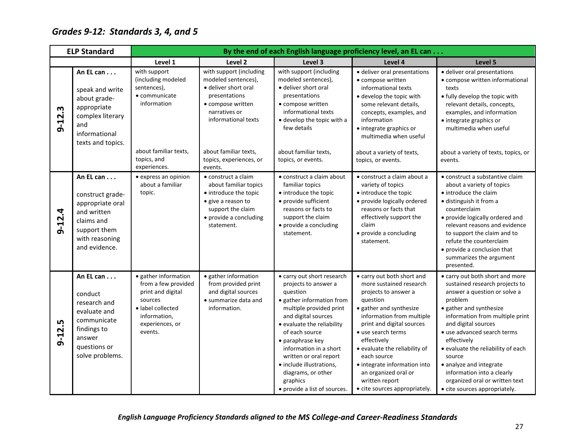# <span id="page-31-0"></span>*Grades 9-12: Standards 3, 4, and 5*

| <b>ELP Standard</b> |                                                                                                                                   |                                                                                                                                                |                                                                                                                                                          |                                                                                                                                                                                                                                                                                                                                                                     | By the end of each English language proficiency level, an EL can                                                                                                                                                                                                                                                                                                               |                                                                                                                                                                                                                                                                                                                                                                                                                             |
|---------------------|-----------------------------------------------------------------------------------------------------------------------------------|------------------------------------------------------------------------------------------------------------------------------------------------|----------------------------------------------------------------------------------------------------------------------------------------------------------|---------------------------------------------------------------------------------------------------------------------------------------------------------------------------------------------------------------------------------------------------------------------------------------------------------------------------------------------------------------------|--------------------------------------------------------------------------------------------------------------------------------------------------------------------------------------------------------------------------------------------------------------------------------------------------------------------------------------------------------------------------------|-----------------------------------------------------------------------------------------------------------------------------------------------------------------------------------------------------------------------------------------------------------------------------------------------------------------------------------------------------------------------------------------------------------------------------|
|                     |                                                                                                                                   | Level 1                                                                                                                                        | Level 2                                                                                                                                                  | Level 3                                                                                                                                                                                                                                                                                                                                                             | Level 4                                                                                                                                                                                                                                                                                                                                                                        | Level 5                                                                                                                                                                                                                                                                                                                                                                                                                     |
| $9 - 12.3$          | An EL can<br>speak and write<br>about grade-<br>appropriate<br>complex literary<br>and<br>informational<br>texts and topics.      | with support<br>(including modeled<br>sentences),<br>• communicate<br>information                                                              | with support (including<br>modeled sentences),<br>· deliver short oral<br>presentations<br>• compose written<br>narratives or<br>informational texts     | with support (including<br>modeled sentences),<br>· deliver short oral<br>presentations<br>• compose written<br>informational texts<br>• develop the topic with a<br>few details                                                                                                                                                                                    | · deliver oral presentations<br>· compose written<br>informational texts<br>• develop the topic with<br>some relevant details,<br>concepts, examples, and<br>information<br>• integrate graphics or<br>multimedia when useful                                                                                                                                                  | · deliver oral presentations<br>• compose written informational<br>texts<br>• fully develop the topic with<br>relevant details, concepts,<br>examples, and information<br>• integrate graphics or<br>multimedia when useful                                                                                                                                                                                                 |
|                     |                                                                                                                                   | about familiar texts,<br>topics, and<br>experiences.                                                                                           | about familiar texts,<br>topics, experiences, or<br>events.                                                                                              | about familiar texts,<br>topics, or events.                                                                                                                                                                                                                                                                                                                         | about a variety of texts,<br>topics, or events.                                                                                                                                                                                                                                                                                                                                | about a variety of texts, topics, or<br>events.                                                                                                                                                                                                                                                                                                                                                                             |
| $9 - 12.4$          | An EL can<br>construct grade-<br>appropriate oral<br>and written<br>claims and<br>support them<br>with reasoning<br>and evidence. | • express an opinion<br>about a familiar<br>topic.                                                                                             | • construct a claim<br>about familiar topics<br>• introduce the topic<br>• give a reason to<br>support the claim<br>• provide a concluding<br>statement. | • construct a claim about<br>familiar topics<br>• introduce the topic<br>• provide sufficient<br>reasons or facts to<br>support the claim<br>• provide a concluding<br>statement.                                                                                                                                                                                   | • construct a claim about a<br>variety of topics<br>• introduce the topic<br>• provide logically ordered<br>reasons or facts that<br>effectively support the<br>claim<br>• provide a concluding<br>statement.                                                                                                                                                                  | • construct a substantive claim<br>about a variety of topics<br>• introduce the claim<br>· distinguish it from a<br>counterclaim<br>• provide logically ordered and<br>relevant reasons and evidence<br>to support the claim and to<br>refute the counterclaim<br>• provide a conclusion that<br>summarizes the argument<br>presented.                                                                                      |
| $9 - 12.5$          | An EL can<br>conduct<br>research and<br>evaluate and<br>communicate<br>findings to<br>answer<br>questions or<br>solve problems.   | • gather information<br>from a few provided<br>print and digital<br>sources<br>· label collected<br>information,<br>experiences, or<br>events. | • gather information<br>from provided print<br>and digital sources<br>· summarize data and<br>information.                                               | • carry out short research<br>projects to answer a<br>question<br>• gather information from<br>multiple provided print<br>and digital sources<br>• evaluate the reliability<br>of each source<br>• paraphrase key<br>information in a short<br>written or oral report<br>· include illustrations,<br>diagrams, or other<br>graphics<br>• provide a list of sources. | • carry out both short and<br>more sustained research<br>projects to answer a<br>question<br>• gather and synthesize<br>information from multiple<br>print and digital sources<br>• use search terms<br>effectively<br>• evaluate the reliability of<br>each source<br>· integrate information into<br>an organized oral or<br>written report<br>• cite sources appropriately. | • carry out both short and more<br>sustained research projects to<br>answer a question or solve a<br>problem<br>• gather and synthesize<br>information from multiple print<br>and digital sources<br>• use advanced search terms<br>effectively<br>• evaluate the reliability of each<br>source<br>• analyze and integrate<br>information into a clearly<br>organized oral or written text<br>• cite sources appropriately. |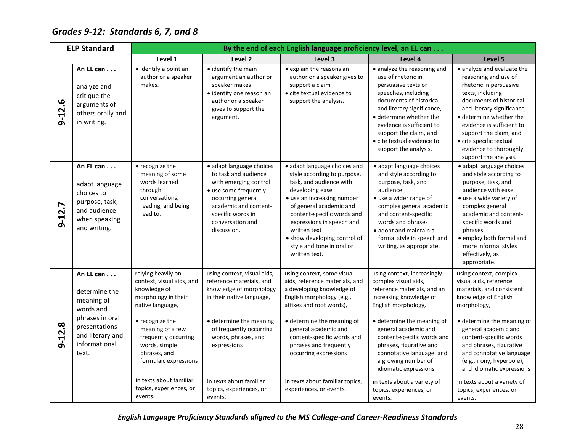# <span id="page-32-0"></span>*Grades 9-12: Standards 6, 7, and 8*

| Level 1<br>Level 3<br>Level 4<br>Level 2<br>· identify the main<br>• explain the reasons an<br>• identify a point an<br>• analyze the reasoning and<br>An EL can<br>author or a speaker<br>argument an author or<br>author or a speaker gives to<br>use of rhetoric in<br>makes.<br>speaker makes<br>support a claim<br>persuasive texts or<br>analyze and<br>• identify one reason an<br>• cite textual evidence to<br>speeches, including<br>critique the<br>documents of historical<br>author or a speaker<br>support the analysis.<br>12.6<br>arguments of<br>and literary significance,<br>gives to support the<br>others orally and<br>• determine whether the<br>argument.<br>ക്<br>in writing.<br>evidence is sufficient to<br>support the claim, and<br>• cite textual evidence to<br>support the analysis.<br>· adapt language choices<br>An EL can<br>• recognize the<br>· adapt language choices<br>· adapt language choices and<br>to task and audience<br>meaning of some<br>style according to purpose,<br>and style according to<br>words learned<br>task, and audience with<br>with emerging control<br>purpose, task, and<br>adapt language<br>through<br>developing ease<br>audience<br>• use some frequently<br>choices to<br>conversations,<br>occurring general<br>• use an increasing number<br>• use a wider range of<br>purpose, task,<br>$9 - 12.7$<br>reading, and being<br>of general academic and<br>academic and content-<br>complex general academic<br>and audience<br>read to.<br>specific words in<br>content-specific words and<br>and content-specific<br>when speaking<br>words and phrases<br>conversation and<br>expressions in speech and<br>and writing.<br>discussion.<br>written text<br>· adopt and maintain a<br>· show developing control of<br>formal style in speech and<br>style and tone in oral or<br>writing, as appropriate.<br>written text.<br>relying heavily on<br>using context, visual aids,<br>using context, some visual<br>using context, increasingly<br>An EL can<br>context, visual aids, and<br>reference materials, and<br>aids, reference materials, and<br>complex visual aids,<br>a developing knowledge of<br>knowledge of<br>knowledge of morphology<br>reference materials, and an<br>determine the<br>morphology in their<br>in their native language,<br>English morphology (e.g.,<br>increasing knowledge of<br>meaning of<br>affixes and root words),<br>native language,<br>English morphology,<br>words and<br>phrases in oral<br>• recognize the<br>· determine the meaning<br>· determine the meaning of<br>· determine the meaning of<br>$9 - 12.8$<br>presentations<br>meaning of a few<br>of frequently occurring<br>general academic and<br>general academic and<br>and literary and<br>frequently occurring<br>content-specific words and<br>content-specific words and<br>words, phrases, and<br>informational<br>words, simple<br>phrases and frequently<br>phrases, figurative and<br>expressions<br>phrases, and<br>occurring expressions<br>connotative language, and<br>text. | <b>ELP Standard</b> |  |                       | By the end of each English language proficiency level, an EL can |  |                     |                                                                                                                                                                                                                                                                                                                                                                                 |  |  |
|---------------------------------------------------------------------------------------------------------------------------------------------------------------------------------------------------------------------------------------------------------------------------------------------------------------------------------------------------------------------------------------------------------------------------------------------------------------------------------------------------------------------------------------------------------------------------------------------------------------------------------------------------------------------------------------------------------------------------------------------------------------------------------------------------------------------------------------------------------------------------------------------------------------------------------------------------------------------------------------------------------------------------------------------------------------------------------------------------------------------------------------------------------------------------------------------------------------------------------------------------------------------------------------------------------------------------------------------------------------------------------------------------------------------------------------------------------------------------------------------------------------------------------------------------------------------------------------------------------------------------------------------------------------------------------------------------------------------------------------------------------------------------------------------------------------------------------------------------------------------------------------------------------------------------------------------------------------------------------------------------------------------------------------------------------------------------------------------------------------------------------------------------------------------------------------------------------------------------------------------------------------------------------------------------------------------------------------------------------------------------------------------------------------------------------------------------------------------------------------------------------------------------------------------------------------------------------------------------------------------------------------------------------------------------------------------------------------------------------------------------------------------------------------------------------------------------------------------------------------------------------------------------------------------------------------------------------------------------------------------------------------------------------------------------------------------------|---------------------|--|-----------------------|------------------------------------------------------------------|--|---------------------|---------------------------------------------------------------------------------------------------------------------------------------------------------------------------------------------------------------------------------------------------------------------------------------------------------------------------------------------------------------------------------|--|--|
|                                                                                                                                                                                                                                                                                                                                                                                                                                                                                                                                                                                                                                                                                                                                                                                                                                                                                                                                                                                                                                                                                                                                                                                                                                                                                                                                                                                                                                                                                                                                                                                                                                                                                                                                                                                                                                                                                                                                                                                                                                                                                                                                                                                                                                                                                                                                                                                                                                                                                                                                                                                                                                                                                                                                                                                                                                                                                                                                                                                                                                                                           |                     |  |                       |                                                                  |  |                     | Level 5                                                                                                                                                                                                                                                                                                                                                                         |  |  |
|                                                                                                                                                                                                                                                                                                                                                                                                                                                                                                                                                                                                                                                                                                                                                                                                                                                                                                                                                                                                                                                                                                                                                                                                                                                                                                                                                                                                                                                                                                                                                                                                                                                                                                                                                                                                                                                                                                                                                                                                                                                                                                                                                                                                                                                                                                                                                                                                                                                                                                                                                                                                                                                                                                                                                                                                                                                                                                                                                                                                                                                                           |                     |  |                       |                                                                  |  |                     | • analyze and evaluate the<br>reasoning and use of<br>rhetoric in persuasive<br>texts, including<br>documents of historical<br>and literary significance,<br>• determine whether the<br>evidence is sufficient to<br>support the claim, and<br>• cite specific textual<br>evidence to thoroughly<br>support the analysis.                                                       |  |  |
|                                                                                                                                                                                                                                                                                                                                                                                                                                                                                                                                                                                                                                                                                                                                                                                                                                                                                                                                                                                                                                                                                                                                                                                                                                                                                                                                                                                                                                                                                                                                                                                                                                                                                                                                                                                                                                                                                                                                                                                                                                                                                                                                                                                                                                                                                                                                                                                                                                                                                                                                                                                                                                                                                                                                                                                                                                                                                                                                                                                                                                                                           |                     |  |                       |                                                                  |  |                     | · adapt language choices<br>and style according to<br>purpose, task, and<br>audience with ease<br>• use a wide variety of<br>complex general<br>academic and content-<br>specific words and<br>phrases<br>· employ both formal and<br>more informal styles<br>effectively, as<br>appropriate.                                                                                   |  |  |
| idiomatic expressions<br>in texts about familiar<br>in texts about familiar<br>in texts about familiar topics,<br>in texts about a variety of<br>topics, experiences, or<br>topics, experiences, or<br>experiences, or events.<br>topics, experiences, or<br>events.                                                                                                                                                                                                                                                                                                                                                                                                                                                                                                                                                                                                                                                                                                                                                                                                                                                                                                                                                                                                                                                                                                                                                                                                                                                                                                                                                                                                                                                                                                                                                                                                                                                                                                                                                                                                                                                                                                                                                                                                                                                                                                                                                                                                                                                                                                                                                                                                                                                                                                                                                                                                                                                                                                                                                                                                      |                     |  | formulaic expressions |                                                                  |  | a growing number of | using context, complex<br>visual aids, reference<br>materials, and consistent<br>knowledge of English<br>morphology,<br>• determine the meaning of<br>general academic and<br>content-specific words<br>and phrases, figurative<br>and connotative language<br>(e.g., irony, hyperbole),<br>and idiomatic expressions<br>in texts about a variety of<br>topics, experiences, or |  |  |

*English Language Proficiency Standards aligned to the MS College-and Career-Readiness Standards*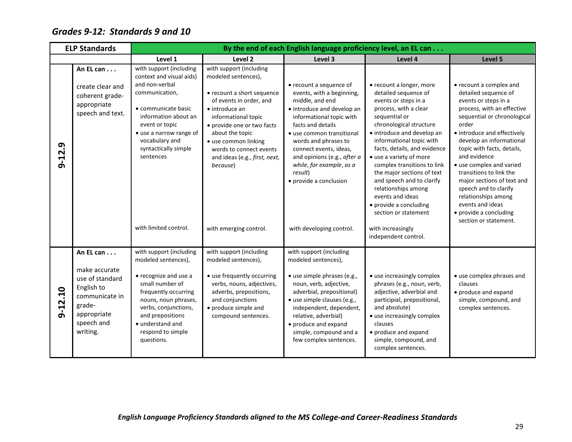## <span id="page-33-0"></span>*Grades 9-12: Standards 9 and 10*

| <b>ELP Standards</b> |                                                                                                                                  |                                                                                                                                                                                                                                                                     |                                                                                                                                                                                                                                                                                                                             | By the end of each English language proficiency level, an EL can                                                                                                                                                                                                                                                                                                  |                                                                                                                                                                                                                                                                                                                                                                                                                                                                                                        |                                                                                                                                                                                                                                                                                                                                                                                                                                                                    |
|----------------------|----------------------------------------------------------------------------------------------------------------------------------|---------------------------------------------------------------------------------------------------------------------------------------------------------------------------------------------------------------------------------------------------------------------|-----------------------------------------------------------------------------------------------------------------------------------------------------------------------------------------------------------------------------------------------------------------------------------------------------------------------------|-------------------------------------------------------------------------------------------------------------------------------------------------------------------------------------------------------------------------------------------------------------------------------------------------------------------------------------------------------------------|--------------------------------------------------------------------------------------------------------------------------------------------------------------------------------------------------------------------------------------------------------------------------------------------------------------------------------------------------------------------------------------------------------------------------------------------------------------------------------------------------------|--------------------------------------------------------------------------------------------------------------------------------------------------------------------------------------------------------------------------------------------------------------------------------------------------------------------------------------------------------------------------------------------------------------------------------------------------------------------|
|                      |                                                                                                                                  | Level 1                                                                                                                                                                                                                                                             | Level 2                                                                                                                                                                                                                                                                                                                     | Level 3                                                                                                                                                                                                                                                                                                                                                           | Level 4                                                                                                                                                                                                                                                                                                                                                                                                                                                                                                | Level 5                                                                                                                                                                                                                                                                                                                                                                                                                                                            |
| $9 - 12.9$           | An EL can<br>create clear and<br>coherent grade-<br>appropriate<br>speech and text.                                              | with support (including<br>context and visual aids)<br>and non-verbal<br>communication,<br>• communicate basic<br>information about an<br>event or topic<br>• use a narrow range of<br>vocabulary and<br>syntactically simple<br>sentences<br>with limited control. | with support (including<br>modeled sentences),<br>• recount a short sequence<br>of events in order, and<br>• introduce an<br>informational topic<br>• provide one or two facts<br>about the topic<br>· use common linking<br>words to connect events<br>and ideas (e.g., first, next,<br>because)<br>with emerging control. | • recount a sequence of<br>events, with a beginning,<br>middle, and end<br>· introduce and develop an<br>informational topic with<br>facts and details<br>• use common transitional<br>words and phrases to<br>connect events, ideas,<br>and opinions (e.g., after a<br>while, for example, as a<br>result)<br>• provide a conclusion<br>with developing control. | • recount a longer, more<br>detailed sequence of<br>events or steps in a<br>process, with a clear<br>sequential or<br>chronological structure<br>• introduce and develop an<br>informational topic with<br>facts, details, and evidence<br>• use a variety of more<br>complex transitions to link<br>the major sections of text<br>and speech and to clarify<br>relationships among<br>events and ideas<br>• provide a concluding<br>section or statement<br>with increasingly<br>independent control. | • recount a complex and<br>detailed sequence of<br>events or steps in a<br>process, with an effective<br>sequential or chronological<br>order<br>• introduce and effectively<br>develop an informational<br>topic with facts, details,<br>and evidence<br>• use complex and varied<br>transitions to link the<br>major sections of text and<br>speech and to clarify<br>relationships among<br>events and ideas<br>• provide a concluding<br>section or statement. |
| $9 - 12.10$          | An EL can<br>make accurate<br>use of standard<br>English to<br>communicate in<br>grade-<br>appropriate<br>speech and<br>writing. | with support (including<br>modeled sentences),<br>• recognize and use a<br>small number of<br>frequently occurring<br>nouns, noun phrases,<br>verbs, conjunctions,<br>and prepositions<br>• understand and<br>respond to simple<br>questions.                       | with support (including<br>modeled sentences),<br>· use frequently occurring<br>verbs, nouns, adjectives,<br>adverbs, prepositions,<br>and conjunctions<br>• produce simple and<br>compound sentences.                                                                                                                      | with support (including<br>modeled sentences),<br>· use simple phrases (e.g.,<br>noun, verb, adjective,<br>adverbial, prepositional)<br>· use simple clauses (e.g.,<br>independent, dependent,<br>relative, adverbial)<br>• produce and expand<br>simple, compound and a<br>few complex sentences.                                                                | • use increasingly complex<br>phrases (e.g., noun, verb,<br>adjective, adverbial and<br>participial, prepositional,<br>and absolute)<br>• use increasingly complex<br>clauses<br>• produce and expand<br>simple, compound, and<br>complex sentences.                                                                                                                                                                                                                                                   | • use complex phrases and<br>clauses<br>• produce and expand<br>simple, compound, and<br>complex sentences.                                                                                                                                                                                                                                                                                                                                                        |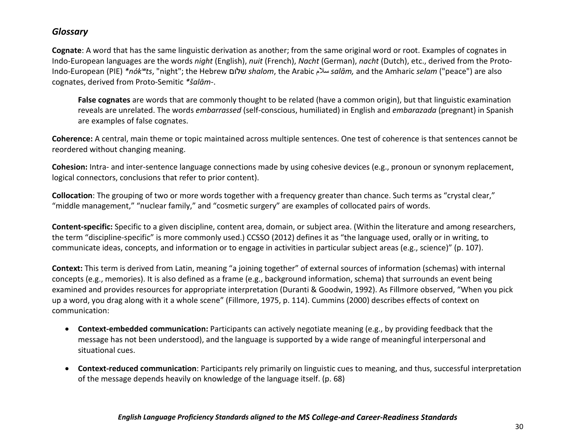### <span id="page-34-0"></span>*Glossary*

**Cognate**: A word that has the same linguistic derivation as another; from the same original word or root. Examples of cognates in Indo-European languages are the words *night* (English), *nuit* (French), *Nacht* (German), *nacht* (Dutch), etc., derived from the Proto-Indo-European (PIE) *\*nókʷts*, "night"; the Hebrew שלום *shalom*, the Arabic سلام *salām,* and the Amharic *selam* ("peace") are also cognates, derived from Proto-Semitic *\*šalām-*.

**False cognates** are words that are commonly thought to be related (have a common origin), but that linguistic examination reveals are unrelated. The words *embarrassed* (self-conscious, humiliated) in English and *embarazada* (pregnant) in Spanish are examples of false cognates.

**Coherence:** A central, main theme or topic maintained across multiple sentences. One test of coherence is that sentences cannot be reordered without changing meaning.

**Cohesion:** Intra- and inter-sentence language connections made by using cohesive devices (e.g., pronoun or synonym replacement, logical connectors, conclusions that refer to prior content).

**Collocation**: The grouping of two or more words together with a frequency greater than chance. Such terms as "crystal clear," "middle management," "nuclear family," and "cosmetic surgery" are examples of collocated pairs of words.

**Content-specific:** Specific to a given discipline, content area, domain, or subject area. (Within the literature and among researchers, the term "discipline-specific" is more commonly used.) CCSSO (2012) defines it as "the language used, orally or in writing, to communicate ideas, concepts, and information or to engage in activities in particular subject areas (e.g., science)" (p. 107).

**Context:** This term is derived from Latin, meaning "a joining together" of external sources of information (schemas) with internal concepts (e.g., memories). It is also defined as a frame (e.g., background information, schema) that surrounds an event being examined and provides resources for appropriate interpretation (Duranti & Goodwin, 1992). As Fillmore observed, "When you pick up a word, you drag along with it a whole scene" (Fillmore, 1975, p. 114). Cummins (2000) describes effects of context on communication:

- **Context-embedded communication:** Participants can actively negotiate meaning (e.g., by providing feedback that the message has not been understood), and the language is supported by a wide range of meaningful interpersonal and situational cues.
- **Context-reduced communication**: Participants rely primarily on linguistic cues to meaning, and thus, successful interpretation of the message depends heavily on knowledge of the language itself. (p. 68)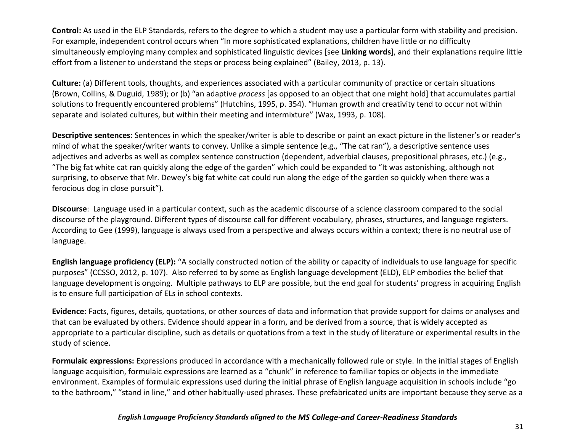**Control:** As used in the ELP Standards, refers to the degree to which a student may use a particular form with stability and precision. For example, independent control occurs when "In more sophisticated explanations, children have little or no difficulty simultaneously employing many complex and sophisticated linguistic devices [see **Linking words**], and their explanations require little effort from a listener to understand the steps or process being explained" (Bailey, 2013, p. 13).

**Culture:** (a) Different tools, thoughts, and experiences associated with a particular community of practice or certain situations (Brown, Collins, & Duguid, 1989); or (b) "an adaptive *process* [as opposed to an object that one might hold] that accumulates partial solutions to frequently encountered problems" (Hutchins, 1995, p. 354). "Human growth and creativity tend to occur not within separate and isolated cultures, but within their meeting and intermixture" (Wax, 1993, p. 108).

**Descriptive sentences:** Sentences in which the speaker/writer is able to describe or paint an exact picture in the listener's or reader's mind of what the speaker/writer wants to convey. Unlike a simple sentence (e.g., "The cat ran"), a descriptive sentence uses adjectives and adverbs as well as complex sentence construction (dependent, adverbial clauses, prepositional phrases, etc.) (e.g., "The big fat white cat ran quickly along the edge of the garden" which could be expanded to "It was astonishing, although not surprising, to observe that Mr. Dewey's big fat white cat could run along the edge of the garden so quickly when there was a ferocious dog in close pursuit").

**Discourse**: Language used in a particular context, such as the academic discourse of a science classroom compared to the social discourse of the playground. Different types of discourse call for different vocabulary, phrases, structures, and language registers. According to Gee (1999), language is always used from a perspective and always occurs within a context; there is no neutral use of language.

**English language proficiency (ELP):** "A socially constructed notion of the ability or capacity of individuals to use language for specific purposes" (CCSSO, 2012, p. 107). Also referred to by some as English language development (ELD), ELP embodies the belief that language development is ongoing. Multiple pathways to ELP are possible, but the end goal for students' progress in acquiring English is to ensure full participation of ELs in school contexts.

**Evidence:** Facts, figures, details, quotations, or other sources of data and information that provide support for claims or analyses and that can be evaluated by others. Evidence should appear in a form, and be derived from a source, that is widely accepted as appropriate to a particular discipline, such as details or quotations from a text in the study of literature or experimental results in the study of science.

**Formulaic expressions:** Expressions produced in accordance with a mechanically followed rule or style. In the initial stages of English language acquisition, formulaic expressions are learned as a "chunk" in reference to familiar topics or objects in the immediate environment. Examples of formulaic expressions used during the initial phrase of English language acquisition in schools include "go to the bathroom," "stand in line," and other habitually-used phrases. These prefabricated units are important because they serve as a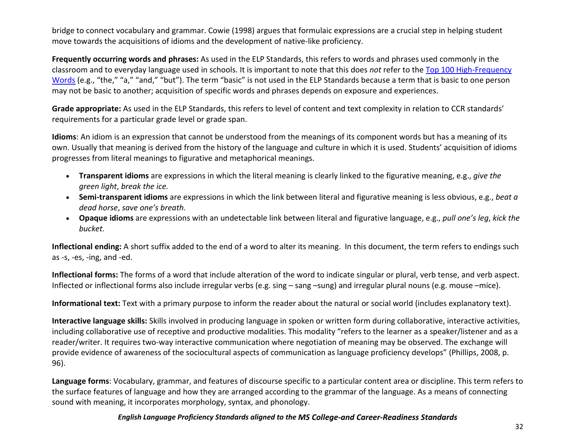bridge to connect vocabulary and grammar. Cowie (1998) argues that formulaic expressions are a crucial step in helping student move towards the acquisitions of idioms and the development of native-like proficiency.

**Frequently occurring words and phrases:** As used in the ELP Standards, this refers to words and phrases used commonly in the classroom and to everyday language used in schools. It is important to note that this does *not* refer to the [Top 100 High-Frequency](http://www.letterland.com/parent-guide/high-frequency-words)  [Words](http://www.letterland.com/parent-guide/high-frequency-words) (e.g., "the," "a," "and," "but"). The term "basic" is not used in the ELP Standards because a term that is basic to one person may not be basic to another; acquisition of specific words and phrases depends on exposure and experiences.

**Grade appropriate:** As used in the ELP Standards, this refers to level of content and text complexity in relation to CCR standards' requirements for a particular grade level or grade span.

**Idioms**: An idiom is an expression that cannot be understood from the meanings of its component words but has a meaning of its own. Usually that meaning is derived from the history of the language and culture in which it is used. Students' acquisition of idioms progresses from literal meanings to figurative and metaphorical meanings.

- **Transparent idioms** are expressions in which the literal meaning is clearly linked to the figurative meaning, e.g., *give the green light*, *break the ice.*
- **Semi-transparent idioms** are expressions in which the link between literal and figurative meaning is less obvious, e.g., *beat a dead horse*, *save one's breath.*
- **Opaque idioms** are expressions with an undetectable link between literal and figurative language, e.g., *pull one's leg*, *kick the bucket.*

**Inflectional ending:** A short suffix added to the end of a word to alter its meaning. In this document, the term refers to endings such as -s, -es, -ing, and -ed.

**Inflectional forms:** The forms of a word that include alteration of the word to indicate singular or plural, verb tense, and verb aspect. Inflected or inflectional forms also include irregular verbs (e.g. sing – sang –sung) and irregular plural nouns (e.g. mouse –mice).

**Informational text:** Text with a primary purpose to inform the reader about the natural or social world (includes explanatory text).

**Interactive language skills:** Skills involved in producing language in spoken or written form during collaborative, interactive activities, including collaborative use of receptive and productive modalities. This modality "refers to the learner as a speaker/listener and as a reader/writer. It requires two-way interactive communication where negotiation of meaning may be observed. The exchange will provide evidence of awareness of the sociocultural aspects of communication as language proficiency develops" (Phillips, 2008, p. 96).

**Language forms**: Vocabulary, grammar, and features of discourse specific to a particular content area or discipline. This term refers to the surface features of language and how they are arranged according to the grammar of the language. As a means of connecting sound with meaning, it incorporates morphology, syntax, and phonology.

#### *English Language Proficiency Standards aligned to the MS College-and Career-Readiness Standards*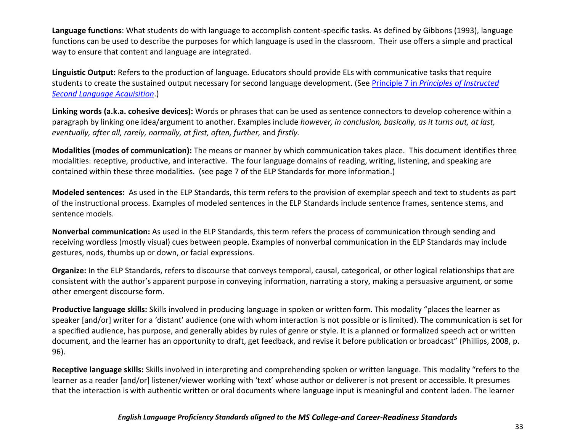**Language functions**: What students do with language to accomplish content-specific tasks. As defined by Gibbons (1993), language functions can be used to describe the purposes for which language is used in the classroom. Their use offers a simple and practical way to ensure that content and language are integrated.

**Linguistic Output:** Refers to the production of language. Educators should provide ELs with communicative tasks that require students to create the sustained output necessary for second language development. (See Principle 7 in *[Principles of Instructed](http://www.cal.org/resources/digest/instructed2ndlang.html)  [Second Language](http://www.cal.org/resources/digest/instructed2ndlang.html) Acquisition*.)

**Linking words (a.k.a. cohesive devices):** Words or phrases that can be used as sentence connectors to develop coherence within a paragraph by linking one idea/argument to another. Examples include *however, in conclusion, basically, as it turns out, at last, eventually, after all, rarely, normally, at first, often, further,* and *firstly.*

**Modalities (modes of communication):** The means or manner by which communication takes place. This document identifies three modalities: receptive, productive, and interactive. The four language domains of reading, writing, listening, and speaking are contained within these three modalities. (see page 7 of the ELP Standards for more information.)

**Modeled sentences:** As used in the ELP Standards, this term refers to the provision of exemplar speech and text to students as part of the instructional process. Examples of modeled sentences in the ELP Standards include sentence frames, sentence stems, and sentence models.

**Nonverbal communication:** As used in the ELP Standards, this term refers the process of communication through sending and receiving wordless (mostly visual) cues between people. Examples of nonverbal communication in the ELP Standards may include gestures, nods, thumbs up or down, or facial expressions.

**Organize:** In the ELP Standards, refers to discourse that conveys temporal, causal, categorical, or other logical relationships that are consistent with the author's apparent purpose in conveying information, narrating a story, making a persuasive argument, or some other emergent discourse form.

**Productive language skills:** Skills involved in producing language in spoken or written form. This modality "places the learner as speaker [and/or] writer for a 'distant' audience (one with whom interaction is not possible or is limited). The communication is set for a specified audience, has purpose, and generally abides by rules of genre or style. It is a planned or formalized speech act or written document, and the learner has an opportunity to draft, get feedback, and revise it before publication or broadcast" (Phillips, 2008, p. 96).

**Receptive language skills:** Skills involved in interpreting and comprehending spoken or written language. This modality "refers to the learner as a reader [and/or] listener/viewer working with 'text' whose author or deliverer is not present or accessible. It presumes that the interaction is with authentic written or oral documents where language input is meaningful and content laden. The learner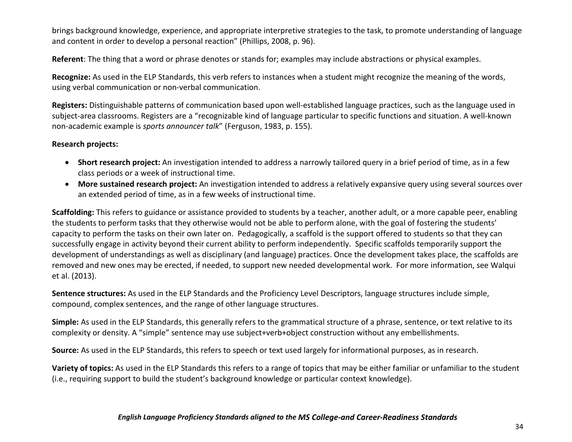brings background knowledge, experience, and appropriate interpretive strategies to the task, to promote understanding of language and content in order to develop a personal reaction" (Phillips, 2008, p. 96).

**Referent**: The thing that a word or phrase denotes or stands for; examples may include abstractions or physical examples.

**Recognize:** As used in the ELP Standards, this verb refers to instances when a student might recognize the meaning of the words, using verbal communication or non-verbal communication.

**Registers:** Distinguishable patterns of communication based upon well-established language practices, such as the language used in subject-area classrooms. Registers are a "recognizable kind of language particular to specific functions and situation. A well-known non-academic example is *sports announcer talk*" (Ferguson, 1983, p. 155).

#### **Research projects:**

- **Short research project:** An investigation intended to address a narrowly tailored query in a brief period of time, as in a few class periods or a week of instructional time.
- **More sustained research project:** An investigation intended to address a relatively expansive query using several sources over an extended period of time, as in a few weeks of instructional time.

**Scaffolding:** This refers to guidance or assistance provided to students by a teacher, another adult, or a more capable peer, enabling the students to perform tasks that they otherwise would not be able to perform alone, with the goal of fostering the students' capacity to perform the tasks on their own later on. Pedagogically, a scaffold is the support offered to students so that they can successfully engage in activity beyond their current ability to perform independently. Specific scaffolds temporarily support the development of understandings as well as disciplinary (and language) practices. Once the development takes place, the scaffolds are removed and new ones may be erected, if needed, to support new needed developmental work. For more information, see Walqui et al. (2013).

**Sentence structures:** As used in the ELP Standards and the Proficiency Level Descriptors, language structures include simple, compound, complex sentences, and the range of other language structures.

**Simple:** As used in the ELP Standards, this generally refers to the grammatical structure of a phrase, sentence, or text relative to its complexity or density. A "simple" sentence may use subject+verb+object construction without any embellishments.

**Source:** As used in the ELP Standards, this refers to speech or text used largely for informational purposes, as in research.

**Variety of topics:** As used in the ELP Standards this refers to a range of topics that may be either familiar or unfamiliar to the student (i.e., requiring support to build the student's background knowledge or particular context knowledge).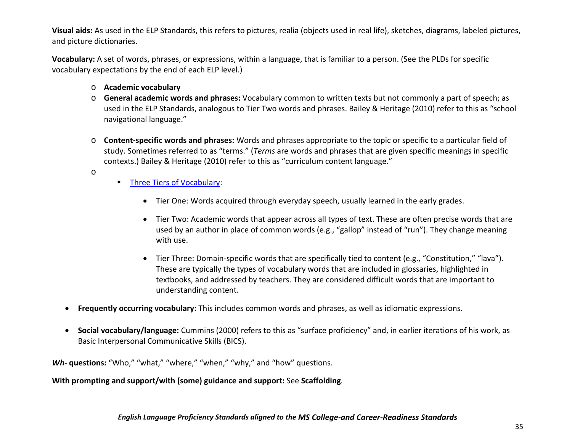**Visual aids:** As used in the ELP Standards, this refers to pictures, realia (objects used in real life), sketches, diagrams, labeled pictures, and picture dictionaries.

**Vocabulary:** A set of words, phrases, or expressions, within a language, that is familiar to a person. (See the PLDs for specific vocabulary expectations by the end of each ELP level.)

- o **Academic vocabulary**
- o **General academic words and phrases:** Vocabulary common to written texts but not commonly a part of speech; as used in the ELP Standards, analogous to Tier Two words and phrases. Bailey & Heritage (2010) refer to this as "school navigational language."
- o **Content-specific words and phrases:** Words and phrases appropriate to the topic or specific to a particular field of study. Sometimes referred to as "terms." (*Terms* are words and phrases that are given specific meanings in specific contexts.) Bailey & Heritage (2010) refer to this as "curriculum content language."
- o
- **[Three Tiers of Vocabulary:](http://d97cooltools.blogspot.com/2012/09/commoncoreunpackingacademicvocabulary.html)** 
	- Tier One: Words acquired through everyday speech, usually learned in the early grades.
	- Tier Two: Academic words that appear across all types of text. These are often precise words that are used by an author in place of common words (e.g., "gallop" instead of "run"). They change meaning with use.
	- Tier Three: Domain-specific words that are specifically tied to content (e.g., "Constitution," "lava"). These are typically the types of vocabulary words that are included in glossaries, highlighted in textbooks, and addressed by teachers. They are considered difficult words that are important to understanding content.
- **Frequently occurring vocabulary:** This includes common words and phrases, as well as idiomatic expressions.
- **Social vocabulary/language:** Cummins (2000) refers to this as "surface proficiency" and, in earlier iterations of his work, as Basic Interpersonal Communicative Skills (BICS).

*Wh***- questions:** "Who," "what," "where," "when," "why," and "how" questions.

**With prompting and support/with (some) guidance and support:** See **Scaffolding***.*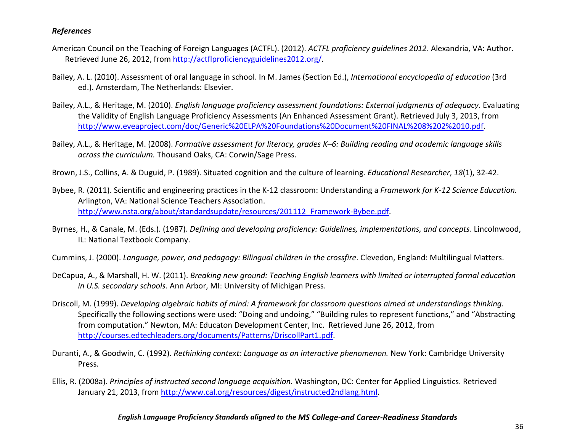#### <span id="page-40-0"></span>*References*

- American Council on the Teaching of Foreign Languages (ACTFL). (2012). *ACTFL proficiency guidelines 2012*. Alexandria, VA: Author. Retrieved June 26, 2012, from [http://actflproficiencyguidelines2012.org/.](http://actflproficiencyguidelines2012.org/)
- Bailey, A. L. (2010). Assessment of oral language in school. In M. James (Section Ed.), *International encyclopedia of education* (3rd ed.). Amsterdam, The Netherlands: Elsevier.
- Bailey, A.L., & Heritage, M. (2010). *English language proficiency assessment foundations: External judgments of adequacy.* Evaluating the Validity of English Language Proficiency Assessments (An Enhanced Assessment Grant). Retrieved July 3, 2013, from [http://www.eveaproject.com/doc/Generic%20ELPA%20Foundations%20Document%20FINAL%208%202%2010.pdf.](http://www.eveaproject.com/doc/Generic%20ELPA%20Foundations%20Document%20FINAL%208%202%2010.pdf)
- Bailey, A.L., & Heritage, M. (2008). *Formative assessment for literacy, grades K–6: Building reading and academic language skills across the curriculum.* Thousand Oaks, CA: Corwin/Sage Press.
- Brown, J.S., Collins, A. & Duguid, P. (1989). Situated cognition and the culture of learning. *Educational Researcher*, *18*(1), 32-42.
- Bybee, R. (2011). Scientific and engineering practices in the K-12 classroom: Understanding a *Framework for K-12 Science Education.* Arlington, VA: National Science Teachers Association. [http://www.nsta.org/about/standardsupdate/resources/201112\\_Framework-Bybee.pdf.](http://www.nsta.org/about/standardsupdate/resources/201112_Framework-Bybee.pdf)
- Byrnes, H., & Canale, M. (Eds.). (1987). *Defining and developing proficiency: Guidelines, implementations, and concepts*. Lincolnwood, IL: National Textbook Company.
- Cummins, J. (2000). *Language, power, and pedagogy: Bilingual children in the crossfire*. Clevedon, England: Multilingual Matters.
- DeCapua, A., & Marshall, H. W. (2011). *Breaking new ground: Teaching English learners with limited or interrupted formal education in U.S. secondary schools*. Ann Arbor, MI: University of Michigan Press.
- Driscoll, M. (1999). *Developing algebraic habits of mind: A framework for classroom questions aimed at understandings thinking.* Specifically the following sections were used: "Doing and undoing," "Building rules to represent functions," and "Abstracting from computation." Newton, MA: Educaton Development Center, Inc. Retrieved June 26, 2012, from [http://courses.edtechleaders.org/documents/Patterns/DriscollPart1.pdf.](http://courses.edtechleaders.org/documents/Patterns/DriscollPart1.pdf)
- Duranti, A., & Goodwin, C. (1992). *Rethinking context: Language as an interactive phenomenon.* New York: Cambridge University Press.
- Ellis, R. (2008a). *Principles of instructed second language acquisition.* Washington, DC: Center for Applied Linguistics. Retrieved January 21, 2013, fro[m http://www.cal.org/resources/digest/instructed2ndlang.html.](http://www.cal.org/resources/digest/instructed2ndlang.html)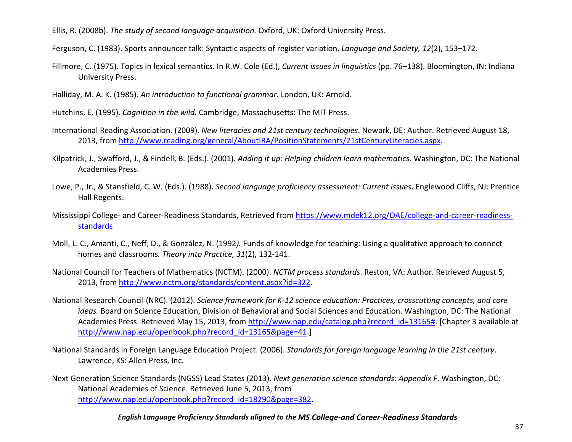Ellis, R. (2008b). *The study of second language acquisition.* Oxford, UK: Oxford University Press.

Ferguson, C. (1983). Sports announcer talk: Syntactic aspects of register variation. *Language and Society, 12*(2), 153–172.

- Fillmore, C. (1975). Topics in lexical semantics. In R.W. Cole (Ed.), *Current issues in linguistics* (pp. 76–138). Bloomington, IN: Indiana University Press.
- Halliday, M. A. K. (1985). *An introduction to functional grammar*. London, UK: Arnold.
- Hutchins, E. (1995). *Cognition in the wild.* Cambridge, Massachusetts: The MIT Press.
- International Reading Association. (2009). *New literacies and 21st century technologies*. Newark, DE: Author. Retrieved August 18, 2013, from [http://www.reading.org/general/AboutIRA/PositionStatements/21stCenturyLiteracies.aspx.](http://www.reading.org/general/AboutIRA/PositionStatements/21stCenturyLiteracies.aspx)
- Kilpatrick, J., Swafford, J., & Findell, B. (Eds.). (2001). *Adding it up: Helping children learn mathematics*. Washington, DC: The National Academies Press.
- Lowe, P., Jr., & Stansfield, C. W. (Eds.). (1988). *Second language proficiency assessment: Current issues*. Englewood Cliffs, NJ: Prentice Hall Regents.
- Mississippi College- and Career-Readiness Standards, Retrieved from [https://www.mdek12.org/OAE/college-and-career-readiness](https://www.mdek12.org/OAE/college-and-career-readiness-standards)[standards](https://www.mdek12.org/OAE/college-and-career-readiness-standards)
- Moll, L. C., Amanti, C., Neff, D., & González, N. (1992*).* Funds of knowledge for teaching: Using a qualitative approach to connect homes and classrooms*. Theory into Practice, 31*(2), 132-141.
- National Council for Teachers of Mathematics (NCTM). (2000). *NCTM process standards*. Reston, VA: Author. Retrieved August 5, 2013, from [http://www.nctm.org/standards/content.aspx?id=322.](http://www.nctm.org/standards/content.aspx?id=322)
- National Research Council (NRC). (2012). *Science framework for K-12 science education: Practices, crosscutting concepts, and core ideas.* Board on Science Education, Division of Behavioral and Social Sciences and Education. Washington, DC: The National Academies Press. Retrieved May 15, 2013, from [http://www.nap.edu/catalog.php?record\\_id=13165#.](http://www.nap.edu/catalog.php?record_id=13165) [Chapter 3 available at [http://www.nap.edu/openbook.php?record\\_id=13165&page=41.](http://www.nap.edu/openbook.php?record_id=13165&page=41)]
- National Standards in Foreign Language Education Project. (2006). *Standards for foreign language learning in the 21st century*. Lawrence, KS: Allen Press, Inc.
- Next Generation Science Standards (NGSS) Lead States (2013). *Next generation science standards: Appendix F*. Washington, DC: National Academies of Science. Retrieved June 5, 2013, from [http://www.nap.edu/openbook.php?record\\_id=18290&page=382.](http://www.nap.edu/openbook.php?record_id=18290&page=382)